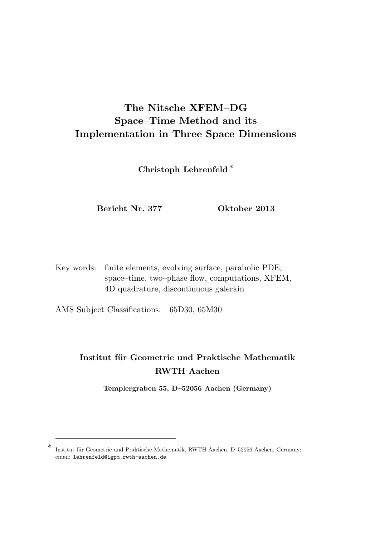# The Nitsche XFEM–DG Space–Time Method and its Implementation in Three Space Dimensions

Christoph Lehrenfeld <sup>∗</sup>

Bericht Nr. 377 Oktober 2013

Key words: finite elements, evolving surface, parabolic PDE, space–time, two–phase flow, computations, XFEM, 4D quadrature, discontinuous galerkin

AMS Subject Classifications: 65D30, 65M30

## Institut für Geometrie und Praktische Mathematik RWTH Aachen

Templergraben 55, D–52056 Aachen (Germany)

<sup>∗</sup> Institut für Geometrie und Praktische Mathematik, RWTH Aachen, D-52056 Aachen, Germany; email: lehrenfeld@igpm.rwth-aachen.de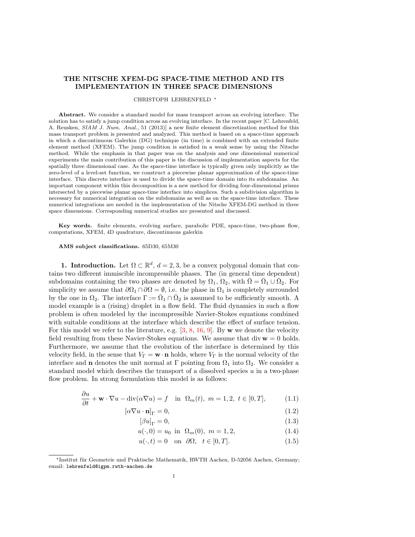## THE NITSCHE XFEM-DG SPACE-TIME METHOD AND ITS IMPLEMENTATION IN THREE SPACE DIMENSIONS

#### CHRISTOPH LEHRENFELD <sup>∗</sup>

Abstract. We consider a standard model for mass transport across an evolving interface. The solution has to satisfy a jump condition across an evolving interface. In the recent paper [C. Lehrenfeld, A. Reusken, SIAM J. Num. Anal., 51 (2013)] a new finite element discretization method for this mass transport problem is presented and analyzed. This method is based on a space-time approach in which a discontinuous Galerkin (DG) technique (in time) is combined with an extended finite element method (XFEM). The jump condition is satisfied in a weak sense by using the Nitsche method. While the emphasis in that paper was on the analysis and one dimensional numerical experiments the main contribution of this paper is the discussion of implementation aspects for the spatially three dimensional case. As the space-time interface is typically given only implicitly as the zero-level of a level-set function, we construct a piecewise planar approximation of the space-time interface. This discrete interface is used to divide the space-time domain into its subdomains. An important component within this decomposition is a new method for dividing four-dimensional prisms intersected by a piecewise planar space-time interface into simplices. Such a subdivision algorithm is necessary for numerical integration on the subdomains as well as on the space-time interface. These numerical integrations are needed in the implementation of the Nitsche XFEM-DG method in three space dimensions. Corresponding numerical studies are presented and discussed.

Key words. finite elements, evolving surface, parabolic PDE, space-time, two-phase flow, computations, XFEM, 4D quadrature, discontinuous galerkin

#### AMS subject classifications. 65D30, 65M30

**1. Introduction.** Let  $\Omega \subset \mathbb{R}^d$ ,  $d = 2, 3$ , be a convex polygonal domain that contains two different immiscible incompressible phases. The (in general time dependent) subdomains containing the two phases are denoted by  $\Omega_1$ ,  $\Omega_2$ , with  $\overline{\Omega} = \overline{\Omega}_1 \cup \overline{\Omega}_2$ . For simplicity we assume that  $\partial\Omega_1 \cap \partial\Omega = \emptyset$ , i.e. the phase in  $\Omega_1$  is completely surrounded by the one in  $\Omega_2$ . The interface  $\Gamma := \overline{\Omega}_1 \cap \overline{\Omega}_2$  is assumed to be sufficiently smooth. A model example is a (rising) droplet in a flow field. The fluid dynamics in such a flow problem is often modeled by the incompressible Navier-Stokes equations combined with suitable conditions at the interface which describe the effect of surface tension. For this model we refer to the literature, e.g.  $[3, 8, 16, 9]$  $[3, 8, 16, 9]$  $[3, 8, 16, 9]$  $[3, 8, 16, 9]$  $[3, 8, 16, 9]$  $[3, 8, 16, 9]$ . By w we denote the velocity field resulting from these Navier-Stokes equations. We assume that  $div \mathbf{w} = 0$  holds. Furthermore, we assume that the evolution of the interface is determined by this velocity field, in the sense that  $V_{\Gamma} = \mathbf{w} \cdot \mathbf{n}$  holds, where  $V_{\Gamma}$  is the normal velocity of the interface and **n** denotes the unit normal at  $\Gamma$  pointing from  $\Omega_1$  into  $\Omega_2$ . We consider a standard model which describes the transport of a dissolved species  $u$  in a two-phase flow problem. In strong formulation this model is as follows:

<span id="page-1-0"></span>
$$
\frac{\partial u}{\partial t} + \mathbf{w} \cdot \nabla u - \text{div}(\alpha \nabla u) = f \quad \text{in} \ \ \Omega_m(t), \ m = 1, 2, \ t \in [0, T], \tag{1.1}
$$

$$
[\alpha \nabla u \cdot \mathbf{n}]_{\Gamma} = 0,\tag{1.2}
$$

$$
[\beta u]_{\Gamma} = 0,\t\t(1.3)
$$

$$
u(\cdot,0) = u_0 \text{ in } \Omega_m(0), \ m = 1,2,
$$
 (1.4)

$$
u(\cdot, t) = 0 \quad \text{on} \quad \partial\Omega, \quad t \in [0, T]. \tag{1.5}
$$

<sup>∗</sup>Institut f¨ur Geometrie und Praktische Mathematik, RWTH Aachen, D-52056 Aachen, Germany; email: lehrenfeld@igpm.rwth-aachen.de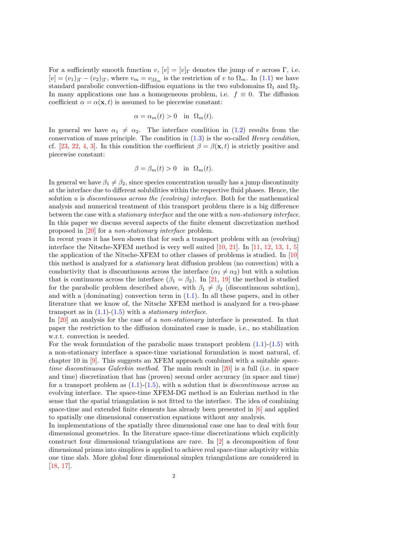For a sufficiently smooth function  $v, [v] = [v]$ <sub>Γ</sub> denotes the jump of v across Γ, i.e.  $[v] = (v_1)_{|\Gamma} - (v_2)_{|\Gamma}$ , where  $v_m = v_{|\Omega_m}$  is the restriction of v to  $\Omega_m$ . In [\(1.1\)](#page-1-0) we have standard parabolic convection-diffusion equations in the two subdomains  $\Omega_1$  and  $\Omega_2$ . In many applications one has a homogeneous problem, i.e.  $f \equiv 0$ . The diffusion coefficient  $\alpha = \alpha(\mathbf{x}, t)$  is assumed to be piecewise constant:

$$
\alpha = \alpha_m(t) > 0 \quad \text{in} \ \Omega_m(t).
$$

In general we have  $\alpha_1 \neq \alpha_2$ . The interface condition in [\(1.2\)](#page-1-0) results from the conservation of mass principle. The condition in  $(1.3)$  is the so-called *Henry condition*, cf. [\[23,](#page-23-1) [22,](#page-23-2) [4,](#page-22-3) [3\]](#page-22-0). In this condition the coefficient  $\beta = \beta(\mathbf{x}, t)$  is strictly positive and piecewise constant:

$$
\beta = \beta_m(t) > 0 \quad \text{in} \ \Omega_m(t).
$$

In general we have  $\beta_1 \neq \beta_2$ , since species concentration usually has a jump discontinuity at the interface due to different solubilities within the respective fluid phases. Hence, the solution u is discontinuous across the (evolving) interface. Both for the mathematical analysis and numerical treatment of this transport problem there is a big difference between the case with a stationary interface and the one with a non-stationary interface. In this paper we discuss several aspects of the finite element discretization method proposed in [\[20\]](#page-23-3) for a non-stationary interface problem.

In recent years it has been shown that for such a transport problem with an (evolving) interface the Nitsche-XFEM method is very well suited  $[10, 21]$  $[10, 21]$ . In  $[11, 12, 13, 1, 5]$  $[11, 12, 13, 1, 5]$  $[11, 12, 13, 1, 5]$  $[11, 12, 13, 1, 5]$  $[11, 12, 13, 1, 5]$  $[11, 12, 13, 1, 5]$  $[11, 12, 13, 1, 5]$  $[11, 12, 13, 1, 5]$ the application of the Nitsche-XFEM to other classes of problems is studied. In [\[10\]](#page-23-4) this method is analyzed for a stationary heat diffusion problem (no convection) with a conductivity that is discontinuous across the interface  $(\alpha_1 \neq \alpha_2)$  but with a solution that is continuous across the interface  $(\beta_1 = \beta_2)$ . In [\[21,](#page-23-5) [19\]](#page-23-9) the method is studied for the parabolic problem described above, with  $\beta_1 \neq \beta_2$  (discontinuous solution), and with a (dominating) convection term in [\(1.1\)](#page-1-0). In all these papers, and in other literature that we know of, the Nitsche XFEM method is analyzed for a two-phase transport as in  $(1.1)-(1.5)$  $(1.1)-(1.5)$  with a *stationary interface*.

In [\[20\]](#page-23-3) an analysis for the case of a non-stationary interface is presented. In that paper the restriction to the diffusion dominated case is made, i.e., no stabilization w.r.t. convection is needed.

For the weak formulation of the parabolic mass transport problem  $(1.1)-(1.5)$  $(1.1)-(1.5)$  $(1.1)-(1.5)$  with a non-stationary interface a space-time variational formulation is most natural, cf. chapter 10 in [\[9\]](#page-22-2). This suggests an XFEM approach combined with a suitable spacetime discontinuous Galerkin method. The main result in [\[20\]](#page-23-3) is a full (i.e. in space and time) discretization that has (proven) second order accuracy (in space and time) for a transport problem as  $(1.1)-(1.5)$  $(1.1)-(1.5)$  $(1.1)-(1.5)$ , with a solution that is *discontinuous* across an evolving interface. The space-time XFEM-DG method is an Eulerian method in the sense that the spatial triangulation is not fitted to the interface. The idea of combining space-time and extended finite elements has already been presented in [\[6\]](#page-22-6) and applied to spatially one dimensional conservation equations without any analysis.

In implementations of the spatially three dimensional case one has to deal with four dimensional geometries. In the literature space-time discretizations which explicitly construct four dimensional triangulations are rare. In [\[2\]](#page-22-7) a decomposition of four dimensional prisms into simplices is applied to achieve real space-time adaptivity within one time slab. More global four dimensional simplex triangulations are considered in [\[18,](#page-23-10) [17\]](#page-23-11).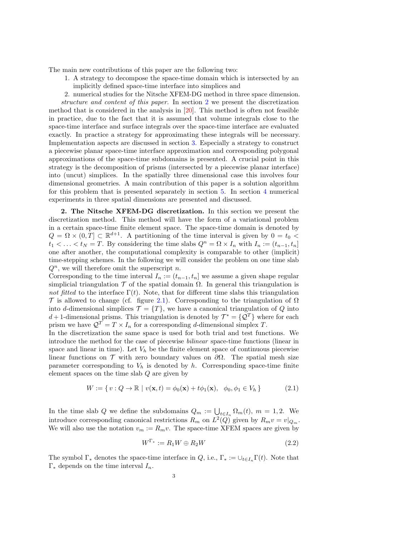The main new contributions of this paper are the following two:

- 1. A strategy to decompose the space-time domain which is intersected by an implicitly defined space-time interface into simplices and
- 2. numerical studies for the Nitsche XFEM-DG method in three space dimension.

structure and content of this paper. In section [2](#page-3-0) we present the discretization method that is considered in the analysis in [\[20\]](#page-23-3). This method is often not feasible in practice, due to the fact that it is assumed that volume integrals close to the space-time interface and surface integrals over the space-time interface are evaluated exactly. In practice a strategy for approximating these integrals will be necessary. Implementation aspects are discussed in section [3.](#page-5-0) Especially a strategy to construct a piecewise planar space-time interface approximation and corresponding polygonal approximations of the space-time subdomains is presented. A crucial point in this strategy is the decomposition of prisms (intersected by a piecewise planar interface) into (uncut) simplices. In the spatially three dimensional case this involves four dimensional geometries. A main contribution of this paper is a solution algorithm for this problem that is presented separately in section [5.](#page-14-0) In section [4](#page-9-0) numerical experiments in three spatial dimensions are presented and discussed.

<span id="page-3-0"></span>2. The Nitsche XFEM-DG discretization. In this section we present the discretization method. This method will have the form of a variational problem in a certain space-time finite element space. The space-time domain is denoted by  $Q = \Omega \times (0,T] \subset \mathbb{R}^{d+1}$ . A partitioning of the time interval is given by  $0 = t_0$  $t_1 < \ldots < t_N = T$ . By considering the time slabs  $Q^n = \Omega \times I_n$  with  $I_n := (t_{n-1}, t_n]$ one after another, the computational complexity is comparable to other (implicit) time-stepping schemes. In the following we will consider the problem on one time slab  $Q<sup>n</sup>$ , we will therefore omit the superscript n.

Corresponding to the time interval  $I_n := (t_{n-1}, t_n]$  we assume a given shape regular simplicial triangulation  $\mathcal T$  of the spatial domain  $\Omega$ . In general this triangulation is not fitted to the interface  $\Gamma(t)$ . Note, that for different time slabs this triangulation T is allowed to change (cf. figure [2.1\)](#page-4-0). Corresponding to the triangulation of  $\Omega$ into d-dimensional simplices  $\mathcal{T} = \{T\}$ , we have a canonical triangulation of Q into d + 1-dimensional prisms. This triangulation is denoted by  $\mathcal{T}^* = \{ \mathcal{Q}^T \}$  where for each prism we have  $\mathcal{Q}^T = T \times I_n$  for a corresponding *d*-dimensional simplex T.

In the discretization the same space is used for both trial and test functions. We introduce the method for the case of piecewise bilinear space-time functions (linear in space and linear in time). Let  $V_h$  be the finite element space of continuous piecewise linear functions on  $\mathcal T$  with zero boundary values on  $\partial\Omega$ . The spatial mesh size parameter corresponding to  $V_h$  is denoted by h. Corresponding space-time finite element spaces on the time slab Q are given by

$$
W := \{ v : Q \to \mathbb{R} \mid v(\mathbf{x}, t) = \phi_0(\mathbf{x}) + t\phi_1(\mathbf{x}), \phi_0, \phi_1 \in V_h \}
$$
(2.1)

In the time slab Q we define the subdomains  $Q_m := \bigcup_{t \in I_n} \Omega_m(t)$ ,  $m = 1, 2$ . We introduce corresponding canonical restrictions  $R_m$  on  $L^2(Q)$  given by  $R_m v = v|_{Q_m}$ . We will also use the notation  $v_m := R_m v$ . The space-time XFEM spaces are given by

$$
W^{\Gamma_*} := R_1 W \oplus R_2 W \tag{2.2}
$$

The symbol  $\Gamma_*$  denotes the space-time interface in Q, i.e.,  $\Gamma_* := \bigcup_{t \in I_n} \Gamma(t)$ . Note that  $\Gamma_*$  depends on the time interval  $I_n$ .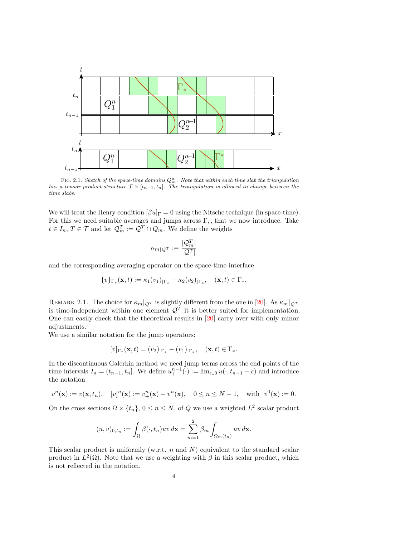

<span id="page-4-0"></span>FIG. 2.1. Sketch of the space-time domains  $Q_m^m$ . Note that within each time slab the triangulation has a tensor product structure  $\mathcal{T} \times [t_{n-1}, t_n]$ . The triangulation is allowed to change between the time slabs.

We will treat the Henry condition  $\left[\beta u\right]$ <sub>Γ</sub> = 0 using the Nitsche technique (in space-time). For this we need suitable averages and jumps across  $\Gamma_*$ , that we now introduce. Take  $t \in I_n$ ,  $T \in \mathcal{T}$  and let  $\mathcal{Q}_m^T := \mathcal{Q}^T \cap Q_m$ . We define the weights

$$
\kappa_{m|\mathcal{Q}^T} := \frac{|\mathcal{Q}_m^T|}{|\mathcal{Q}^T|}
$$

and the corresponding averaging operator on the space-time interface

$$
\{v\}_{\Gamma_*}(\mathbf{x},t) := \kappa_1(v_1)_{|\Gamma_*} + \kappa_2(v_2)_{|\Gamma_*}, \quad (\mathbf{x},t) \in \Gamma_*.
$$

REMARK 2.1. The choice for  $\kappa_m|_{\mathcal{Q}^T}$  is slightly different from the one in [\[20\]](#page-23-3). As  $\kappa_m|_{\mathcal{Q}^T}$ is time-independent within one element  $\mathcal{Q}^T$  it is better suited for implementation. One can easily check that the theoretical results in [\[20\]](#page-23-3) carry over with only minor adjustments.

We use a similar notation for the jump operators:

$$
[v]_{\Gamma_*}(\mathbf{x},t) = (v_2)_{|\Gamma_*} - (v_1)_{|\Gamma_*}, \quad (\mathbf{x},t) \in \Gamma_*.
$$

In the discontinuous Galerkin method we need jump terms across the end points of the time intervals  $I_n = (t_{n-1}, t_n]$ . We define  $u_+^{n-1}(\cdot) := \lim_{\epsilon \downarrow 0} u(\cdot, t_{n-1} + \epsilon)$  and introduce the notation

$$
v^{n}(\mathbf{x}) := v(\mathbf{x}, t_{n}), \quad [v]^{n}(\mathbf{x}) := v_{+}^{n}(\mathbf{x}) - v^{n}(\mathbf{x}), \quad 0 \le n \le N - 1, \quad \text{with} \quad v^{0}(\mathbf{x}) := 0.
$$

On the cross sections  $\Omega \times \{t_n\}$ ,  $0 \le n \le N$ , of Q we use a weighted  $L^2$  scalar product

$$
(u,v)_{0,t_n} := \int_{\Omega} \beta(\cdot,t_n) uv \,d\mathbf{x} = \sum_{m=1}^2 \beta_m \int_{\Omega_m(t_n)} uv \,d\mathbf{x}.
$$

This scalar product is uniformly (w.r.t.  $n$  and  $N$ ) equivalent to the standard scalar product in  $L^2(\Omega)$ . Note that we use a weighting with  $\beta$  in this scalar product, which is not reflected in the notation.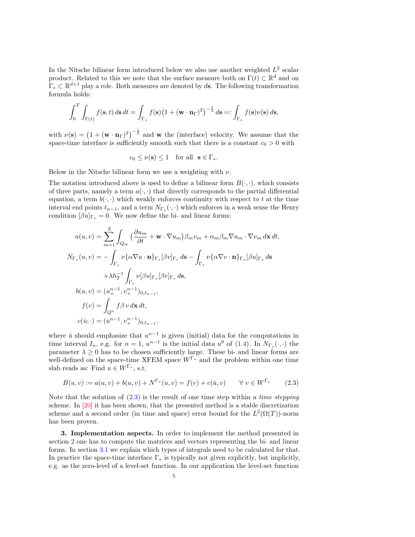In the Nitsche bilinear form introduced below we also use another weighted  $L^2$  scalar product. Related to this we note that the surface measure both on  $\Gamma(t) \subset \mathbb{R}^d$  and on  $\Gamma_* \subset \mathbb{R}^{d+1}$  play a role. Both measures are denoted by ds. The following transformation formula holds:

$$
\int_0^T \int_{\Gamma(t)} f(\mathbf{s}, t) \, d\mathbf{s} \, dt = \int_{\Gamma_*} f(\mathbf{s}) \big( 1 + (\mathbf{w} \cdot \mathbf{n}_{\Gamma})^2 \big)^{-\frac{1}{2}} \, d\mathbf{s} =: \int_{\Gamma_*} f(\mathbf{s}) \nu(\mathbf{s}) \, d\mathbf{s},
$$

with  $\nu(\mathbf{s}) = (1 + (\mathbf{w} \cdot \mathbf{n}_{\Gamma})^2)^{-\frac{1}{2}}$  and **w** the (interface) velocity. We assume that the space-time interface is sufficiently smooth such that there is a constant  $c_0 > 0$  with

$$
c_0 \le \nu(\mathbf{s}) \le 1 \quad \text{for all} \ \ \mathbf{s} \in \Gamma_*.
$$

Below in the Nitsche bilinear form we use a weighting with  $\nu$ .

The notation introduced above is used to define a bilinear form  $B(\cdot, \cdot)$ , which consists of three parts, namely a term  $a(\cdot, \cdot)$  that directly corresponds to the partial differential equation, a term  $b(\cdot, \cdot)$  which weakly enforces continuity with respect to t at the time interval end points  $t_{n-1}$ , and a term  $N_{\Gamma_*}(\cdot, \cdot)$  which enforces in a weak sense the Henry condition  $[\beta u]_{\Gamma_*} = 0$ . We now define the bi- and linear forms:

$$
a(u, v) = \sum_{m=1}^{2} \int_{Q_m} \left( \frac{\partial u_m}{\partial t} + \mathbf{w} \cdot \nabla u_m \right) \beta_m v_m + \alpha_m \beta_m \nabla u_m \cdot \nabla v_m \, d\mathbf{x} \, dt,
$$
  
\n
$$
N_{\Gamma_*}(u, v) = - \int_{\Gamma_*} \nu \{ \alpha \nabla u \cdot \mathbf{n} \}_{\Gamma_*} [\beta v]_{\Gamma_*} \, d\mathbf{s} - \int_{\Gamma_*} \nu \{ \alpha \nabla v \cdot \mathbf{n} \}_{\Gamma_*} [\beta u]_{\Gamma_*} \, d\mathbf{s}
$$
  
\n
$$
+ \lambda h_T^{-1} \int_{\Gamma_*} \nu [\beta u]_{\Gamma_*} [\beta v]_{\Gamma_*} \, d\mathbf{s},
$$
  
\n
$$
b(u, v) = (u_+^{n-1}, v_+^{n-1})_{0, t_{n-1}},
$$
  
\n
$$
f(v) = \int_{Q^n} f \beta v \, d\mathbf{x} \, dt,
$$
  
\n
$$
c(\bar{u}; \cdot) = (u^{n-1}, v_+^{n-1})_{0, t_{n-1}}.
$$

where  $\bar{u}$  should emphasize that  $u^{n-1}$  is given (initial) data for the computations in time interval  $I_n$ , e.g. for  $n = 1$ ,  $u^{n-1}$  is the initial data  $u^0$  of [\(1.4\)](#page-1-0). In  $N_{\Gamma_*}(\cdot, \cdot)$  the parameter  $\lambda \geq 0$  has to be chosen sufficiently large. These bi- and linear forms are well-defined on the space-time XFEM space  $W^{\Gamma_*}$  and the problem within one time slab reads as: Find  $u \in W^{\Gamma_*}$ , s.t.

<span id="page-5-1"></span>
$$
B(u, v) := a(u, v) + b(u, v) + N^{\Gamma_*}(u, v) = f(v) + c(\bar{u}, v) \qquad \forall \ v \in W^{\Gamma_*} \tag{2.3}
$$

Note that the solution of  $(2.3)$  is the result of one time step within a *time stepping* scheme. In [\[20\]](#page-23-3) it has been shown, that the presented method is a stable discretization scheme and a second order (in time and space) error bound for the  $L^2(\Omega(T))$ -norm has been proven.

<span id="page-5-0"></span>3. Implementation aspects. In order to implement the method presented in section [2](#page-3-0) one has to compute the matrices and vectors representing the bi- and linear forms. In section [3.1](#page-6-0) we explain which types of integrals need to be calculated for that. In practice the space-time interface  $\Gamma_*$  is typically not given explicitly, but implicitly, e.g. as the zero-level of a level-set function. In our application the level-set function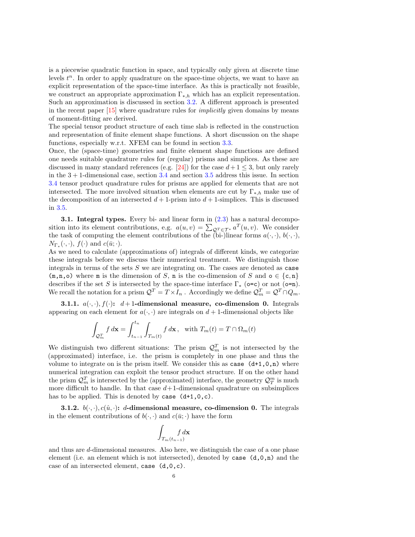is a piecewise quadratic function in space, and typically only given at discrete time levels  $t^n$ . In order to apply quadrature on the space-time objects, we want to have an explicit representation of the space-time interface. As this is practically not feasible, we construct an appropriate approximation  $\Gamma_{*,h}$  which has an explicit representation. Such an approximation is discussed in section [3.2.](#page-7-0) A different approach is presented in the recent paper [\[15\]](#page-23-12) where quadrature rules for implicitly given domains by means of moment-fitting are derived.

The special tensor product structure of each time slab is reflected in the construction and representation of finite element shape functions. A short discussion on the shape functions, especially w.r.t. XFEM can be found in section [3.3.](#page-7-1)

Once, the (space-time) geometries and finite element shape functions are defined one needs suitable quadrature rules for (regular) prisms and simplices. As these are discussed in many standard references (e.g. [\[24\]](#page-23-13)) for the case  $d+1 \leq 3$ , but only rarely in the  $3 + 1$ -dimensional case, section [3.4](#page-8-0) and section [3.5](#page-9-1) address this issue. In section [3.4](#page-8-0) tensor product quadrature rules for prisms are applied for elements that are not intersected. The more involved situation when elements are cut by  $\Gamma_{*,h}$  make use of the decomposition of an intersected  $d+1$ -prism into  $d+1$ -simplices. This is discussed in [3.5.](#page-9-1)

<span id="page-6-0"></span>3.1. Integral types. Every bi- and linear form in [\(2.3\)](#page-5-1) has a natural decomposition into its element contributions, e.g.  $a(u, v) = \sum_{\mathcal{Q}^T \in \mathcal{T}^*} a^T(u, v)$ . We consider the task of computing the element contributions of the  $\overline{b}$ bi-)linear forms  $a(\cdot, \cdot), b(\cdot, \cdot)$ ,  $N_{\Gamma_*}(\cdot,\cdot), f(\cdot)$  and  $c(\bar{u};\cdot).$ 

As we need to calculate (approximations of) integrals of different kinds, we categorize these integrals before we discuss their numerical treatment. We distinguish those integrals in terms of the sets  $S$  we are integrating on. The cases are denoted as case  $(m,n,o)$  where m is the dimension of S, n is the co-dimension of S and  $o \in \{c,n\}$ describes if the set S is intersected by the space-time interface  $\Gamma_*$  (o=c) or not (o=n). We recall the notation for a prism  $\mathcal{Q}^T = T \times I_n$ . Accordingly we define  $\mathcal{Q}_m^T = \mathcal{Q}^T \cap Q_m$ .

3.1.1.  $a(\cdot, \cdot), f(\cdot)$ :  $d+1$ -dimensional measure, co-dimension 0. Integrals appearing on each element for  $a(\cdot, \cdot)$  are integrals on  $d+1$ -dimensional objects like

$$
\int_{\mathcal{Q}_m^T} f \, d\mathbf{x} = \int_{t_{n-1}}^{t_n} \int_{T_m(t)} f \, d\mathbf{x}, \text{ with } T_m(t) = T \cap \Omega_m(t)
$$

We distinguish two different situations: The prism  $\mathcal{Q}_m^T$  is not intersected by the (approximated) interface, i.e. the prism is completely in one phase and thus the volume to integrate on is the prism itself. We consider this as case  $(d+1,0,n)$  where numerical integration can exploit the tensor product structure. If on the other hand the prism  $\mathcal{Q}_m^T$  is intersected by the (approximated) interface, the geometry  $\mathcal{Q}_T^m$  is much more difficult to handle. In that case  $d+1$ -dimensional quadrature on subsimplices has to be applied. This is denoted by case  $(d+1,0,c)$ .

**3.1.2.**  $b(\cdot, \cdot), c(\hat{u}, \cdot)$ : d-dimensional measure, co-dimension 0. The integrals in the element contributions of  $b(\cdot, \cdot)$  and  $c(\bar{u}; \cdot)$  have the form

$$
\int_{T_m(t_{n-1})} f \, d\mathbf{x}
$$

and thus are d-dimensional measures. Also here, we distinguish the case of a one phase element (i.e. an element which is not intersected), denoted by case  $(d,0,n)$  and the case of an intersected element, case (d,0,c).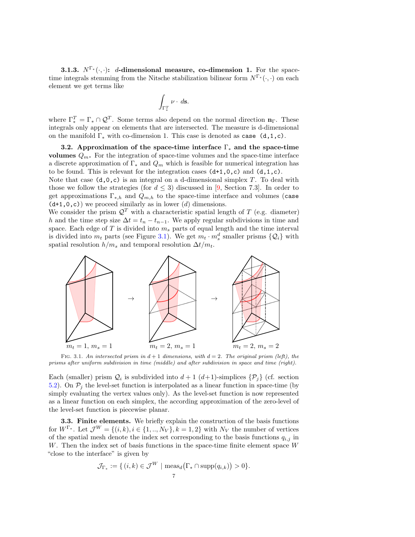**3.1.3.**  $N^{\Gamma}(\cdot, \cdot)$ : *d*-dimensional measure, co-dimension 1. For the spacetime integrals stemming from the Nitsche stabilization bilinear form  $N^{\Gamma^*}(\cdot, \cdot)$  on each element we get terms like

$$
\int_{\Gamma_*^T} \nu \cdot d\mathbf{s}.
$$

where  $\Gamma_*^T = \Gamma_* \cap \mathcal{Q}^T$ . Some terms also depend on the normal direction  $\mathbf{n}_{\Gamma}$ . These integrals only appear on elements that are intersected. The measure is d-dimensional on the manifold  $\Gamma_*$  with co-dimension 1. This case is denoted as case (d,1,c).

<span id="page-7-0"></span>3.2. Approximation of the space-time interface  $\Gamma_*$  and the space-time volumes  $Q_m$ . For the integration of space-time volumes and the space-time interface a discrete approximation of  $\Gamma_*$  and  $Q_m$  which is feasible for numerical integration has to be found. This is relevant for the integration cases  $(d+1,0,c)$  and  $(d,1,c)$ .

Note that case  $(d,0,c)$  is an integral on a d-dimensional simplex T. To deal with those we follow the strategies (for  $d \leq 3$ ) discussed in [\[9,](#page-22-2) Section 7.3]. In order to get approximations  $\Gamma_{*,h}$  and  $Q_{m,h}$  to the space-time interface and volumes (case  $(d+1,0,c)$  we proceed similarly as in lower  $(d)$  dimensions.

We consider the prism  $\mathcal{Q}^T$  with a characteristic spatial length of T (e.g. diameter) h and the time step size  $\Delta t = t_n - t_{n-1}$ . We apply regular subdivisions in time and space. Each edge of  $T$  is divided into  $m_s$  parts of equal length and the time interval is divided into  $m_t$  parts (see Figure [3.1\)](#page-4-0). We get  $m_t \cdot m_s^d$  smaller prisms  $\{Q_i\}$  with spatial resolution  $h/m_s$  and temporal resolution  $\Delta t/m_t$ .



FIG. 3.1. An intersected prism in  $d+1$  dimensions, with  $d=2$ . The original prism (left), the prisms after uniform subdivision in time (middle) and after subdivision in space and time (right).

Each (smaller) prism  $\mathcal{Q}_i$  is subdivided into  $d+1$  ( $d+1$ )-simplices  $\{\mathcal{P}_j\}$  (cf. section [5.2\)](#page-17-0). On  $P_j$  the level-set function is interpolated as a linear function in space-time (by simply evaluating the vertex values only). As the level-set function is now represented as a linear function on each simplex, the according approximation of the zero-level of the level-set function is piecewise planar.

<span id="page-7-1"></span>3.3. Finite elements. We briefly explain the construction of the basis functions for  $W^{\Gamma_*}$ . Let  $\mathcal{J}^W = \{(i,k), i \in \{1,..,N_V\}, k = 1,2\}$  with  $N_V$  the number of vertices of the spatial mesh denote the index set corresponding to the basis functions  $q_{i,j}$  in W. Then the index set of basis functions in the space-time finite element space W "close to the interface" is given by

$$
\mathcal{J}_{\Gamma_*} := \{ (i,k) \in \mathcal{J}^W \mid \text{meas}_d(\Gamma_* \cap \text{supp}(q_{i,k})) > 0 \}.
$$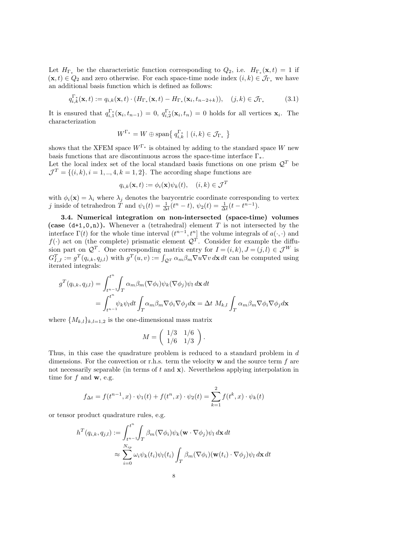Let  $H_{\Gamma_*}$  be the characteristic function corresponding to  $Q_2$ , i.e.  $H_{\Gamma_*}(\mathbf{x},t) = 1$  if  $(\mathbf{x}, t) \in Q_2$  and zero otherwise. For each space-time node index  $(i, k) \in \mathcal{J}_{\Gamma_*}$  we have an additional basis function which is defined as follows:

$$
q_{i,k}^{\Gamma_*}(\mathbf{x},t) := q_{i,k}(\mathbf{x},t) \cdot (H_{\Gamma_*}(\mathbf{x},t) - H_{\Gamma_*}(\mathbf{x}_i,t_{n-2+k})), \quad (j,k) \in \mathcal{J}_{\Gamma_*}
$$
(3.1)

It is ensured that  $q_{i,1}^{\Gamma^*}(\mathbf{x}_i, t_{n-1}) = 0$ ,  $q_{i,2}^{\Gamma^*}(\mathbf{x}_i, t_n) = 0$  holds for all vertices  $\mathbf{x}_i$ . The characterization

$$
W^{\Gamma_*} = W \oplus \text{span}\left\{\, q_{i,k}^{\Gamma_*} \mid (i,k) \in \mathcal{J}_{\Gamma_*} \,\right\}
$$

shows that the XFEM space  $W^{\Gamma_*}$  is obtained by adding to the standard space W new basis functions that are discontinuous across the space-time interface  $\Gamma_*$ .

Let the local index set of the local standard basis functions on one prism  $\mathcal{Q}^T$  be  $\mathcal{J}^T = \{(i,k), i = 1, ..., 4, k = 1, 2\}$ . The according shape functions are

$$
q_{i,k}(\mathbf{x},t) := \phi_i(\mathbf{x})\psi_k(t), \quad (i,k) \in \mathcal{J}^T
$$

with  $\phi_i(\mathbf{x}) = \lambda_i$  where  $\lambda_j$  denotes the barycentric coordinate corresponding to vertex j inside of tetrahedron  $\tilde{T}$  and  $\psi_1(t) = \frac{1}{\Delta t}(t^n - t)$ ,  $\psi_2(t) = \frac{1}{\Delta t}(t - t^{n-1})$ .

<span id="page-8-0"></span>3.4. Numerical integration on non-intersected (space-time) volumes (case  $(d+1,0,n)$ ). Whenever a (tetrahedral) element T is not intersected by the interface  $\Gamma(t)$  for the whole time interval  $(t^{n-1}, t^n]$  the volume integrals of  $a(\cdot, \cdot)$  and  $f(\cdot)$  act on (the complete) prismatic element  $\mathcal{Q}^T$ . Consider for example the diffusion part on  $\mathcal{Q}^T$ . One corresponding matrix entry for  $I = (i, k)$ ,  $J = (j, l) \in \mathcal{J}^W$  is  $G_{I,J}^T := g^T(q_{i,k}, q_{j,l})$  with  $g^T(u, v) := \int_{\mathcal{Q}^T} \alpha_m \beta_m \nabla u \nabla v \, d\mathbf{x} \, dt$  can be computed using iterated integrals:

$$
g^{T}(q_{i,k}, q_{j,l}) = \int_{t^{n-1}}^{t^{n}} \int_{T} \alpha_{m} \beta_{m} (\nabla \phi_{i}) \psi_{k} (\nabla \phi_{j}) \psi_{l} d\mathbf{x} dt
$$
  
= 
$$
\int_{t^{n-1}}^{t^{n}} \psi_{k} \psi_{l} dt \int_{T} \alpha_{m} \beta_{m} \nabla \phi_{i} \nabla \phi_{j} d\mathbf{x} = \Delta t \ M_{k,l} \int_{T} \alpha_{m} \beta_{m} \nabla \phi_{i} \nabla \phi_{j} d\mathbf{x}
$$

where  $\{M_{k,l}\}_{k,l=1,2}$  is the one-dimensional mass matrix

$$
M = \left(\begin{array}{cc} 1/3 & 1/6 \\ 1/6 & 1/3 \end{array}\right).
$$

Thus, in this case the quadrature problem is reduced to a standard problem in d dimensions. For the convection or r.h.s. term the velocity  $\bf{w}$  and the source term f are not necessarily separable (in terms of  $t$  and  $\mathbf{x}$ ). Nevertheless applying interpolation in time for  $f$  and  $\mathbf{w}$ , e.g.

$$
f_{\Delta t} = f(t^{n-1}, x) \cdot \psi_1(t) + f(t^n, x) \cdot \psi_2(t) = \sum_{k=1}^2 f(t^k, x) \cdot \psi_k(t)
$$

or tensor product quadrature rules, e.g.

$$
h^{T}(q_{i,k}, q_{j,l}) := \int_{t^{n-1}}^{t^{n}} \int_{T} \beta_{m}(\nabla \phi_{i}) \psi_{k}(\mathbf{w} \cdot \nabla \phi_{j}) \psi_{l} d\mathbf{x} dt
$$
  

$$
\approx \sum_{i=0}^{N_{ip}} \omega_{i} \psi_{k}(t_{i}) \psi_{l}(t_{i}) \int_{T} \beta_{m}(\nabla \phi_{i}) (\mathbf{w}(t_{i}) \cdot \nabla \phi_{j}) \psi_{l} d\mathbf{x} dt
$$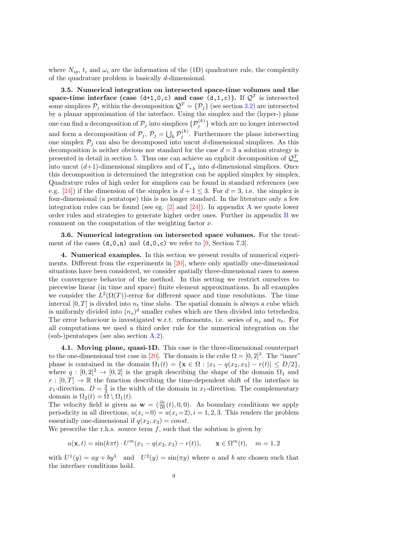where  $N_{ip}$ ,  $t_i$  and  $\omega_i$  are the information of the (1D) quadrature rule, the complexity of the quadrature problem is basically d-dimensional.

<span id="page-9-1"></span>3.5. Numerical integration on intersected space-time volumes and the space-time interface (case (d+1,0,c) and case (d,1,c)). If  $\mathcal{Q}^T$  is intersected some simplices  $P_j$  within the decomposition  $\mathcal{Q}^T = \{P_j\}$  (see section [3.2\)](#page-7-0) are intersected by a planar approximation of the interface. Using the simplex and the (hyper-) plane one can find a decomposition of  $\mathcal{P}_j$  into simplices  $\{\mathcal{P}_j^{(k)}\}$  which are no longer intersected and form a decomposition of  $\mathcal{P}_j$ ,  $\mathcal{P}_j = \bigcup_k \mathcal{P}_j^{(k)}$ . Furthermore the plane intersecting one simplex  $P_j$  can also be decomposed into uncut d-dimensional simplices. As this decomposition is neither obvious nor standard for the case  $d = 3$  a solution strategy is presented in detail in section [5.](#page-14-0) Thus one can achieve an explicit decomposition of  $\mathcal{Q}_m^T$ into uncut  $(d+1)$ -dimensional simplices and of  $\Gamma_{*h}$  into d-dimensional simplices. Once this decomposition is determined the integration can be applied simplex by simplex. Quadrature rules of high order for simplices can be found in standard references (see e.g. [\[24\]](#page-23-13)) if the dimension of the simplex is  $d+1 \leq 3$ . For  $d=3$ , i.e. the simplex is four-dimensional (a pentatope) this is no longer standard. In the literature only a few integration rules can be found (see eg.  $[2]$  and  $[24]$ ). In appendix [A](#page-20-0) we quote lower order rules and strategies to generate higher order ones. Further in appendix [B](#page-21-0) we comment on the computation of the weighting factor  $\nu$ .

3.6. Numerical integration on intersected space volumes. For the treatment of the cases  $(d,0,n)$  and  $(d,0,c)$  we refer to [\[9,](#page-22-2) Section 7.3].

<span id="page-9-0"></span>4. Numerical examples. In this section we present results of numerical experiments. Different from the experiments in  $[20]$ , where only spatially one-dimensional situations have been considered, we consider spatially three-dimensional cases to assess the convergence behavior of the method. In this setting we restrict ourselves to piecewise linear (in time and space) finite element approximations. In all examples we consider the  $L^2(\Omega(T))$ -error for different space and time resolutions. The time interval  $[0, T]$  is divided into  $n_t$  time slabs. The spatial domain is always a cube which is uniformly divided into  $(n_s)^d$  smaller cubes which are then divided into tetrehedra. The error behaviour is investigated w.r.t. refinements, i.e. series of  $n_s$  and  $n_t$ . For all computations we used a third order rule for the numerical integration on the (sub-)pentatopes (see also section [A.2\)](#page-21-1).

<span id="page-9-2"></span>4.1. Moving plane, quasi-1D. This case is the three-dimensional counterpart to the one-dimensional test case in [\[20\]](#page-23-3). The domain is the cube  $\Omega = [0, 2]^3$ . The "inner" phase is contained in the domain  $\Omega_1(t) = \{ \mathbf{x} \in \Omega : |x_1 - q(x_2, x_3) - r(t)| \leq D/2 \}$ , where  $q : [0, 2]^2 \rightarrow [0, 2]$  is the graph describing the shape of the domain  $\Omega_1$  and  $r : [0, T] \to \mathbb{R}$  the function describing the time-dependent shift of the interface in x<sub>1</sub>-direction.  $D = \frac{2}{3}$  is the width of the domain in x<sub>1</sub>-direction. The complementary domain is  $\Omega_2(t) = \check{\Omega} \setminus \Omega_1(t)$ .

The velocity field is given as  $\mathbf{w} = \left(\frac{\partial r}{\partial t}(t), 0, 0\right)$ . As boundary conditions we apply periodicity in all directions,  $u(x_i = 0) = u(x_i = 2), i = 1, 2, 3$ . This renders the problem essentially one-dimensional if  $q(x_2, x_3) = const.$ 

We prescribe the r.h.s. source term  $f$ , such that the solution is given by

$$
u(\mathbf{x}, t) = \sin(k\pi t) \cdot U^m(x_1 - q(x_2, x_3) - r(t)), \quad \mathbf{x} \in \Omega^m(t), \quad m = 1, 2
$$

with  $U^1(y) = ay + by^3$  and  $U^2(y) = \sin(\pi y)$  where a and b are chosen such that the interface conditions hold.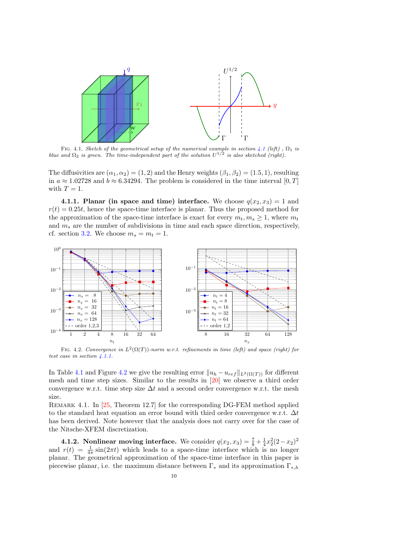

FIG. [4.1](#page-9-2). Sketch of the geometrical setup of the numerical example in section 4.1 (left),  $\Omega_1$  is blue and  $\Omega_2$  is green. The time-independent part of the solution  $U^{1/2}$  is also sketched (right).

The diffusivities are  $(\alpha_1, \alpha_2) = (1, 2)$  and the Henry weights  $(\beta_1, \beta_2) = (1.5, 1)$ , resulting in  $a \approx 1.02728$  and  $b \approx 6.34294$ . The problem is considered in the time interval [0, T] with  $T = 1$ .

<span id="page-10-0"></span>4.1.1. Planar (in space and time) interface. We choose  $q(x_2, x_3) = 1$  and  $r(t) = 0.25t$ , hence the space-time interface is planar. Thus the proposed method for the approximation of the space-time interface is exact for every  $m_t, m_s \geq 1$ , where  $m_t$ and  $m<sub>s</sub>$  are the number of subdivisions in time and each space direction, respectively, cf. section [3.2.](#page-7-0) We choose  $m_s = m_t = 1$ .



<span id="page-10-1"></span>FIG. 4.2. Convergence in  $L^2(\Omega(T))$ -norm w.r.t. refinements in time (left) and space (right) for test case in section [4.1.1.](#page-10-0)

In Table [4.1](#page-11-0) and Figure [4.2](#page-10-1) we give the resulting error  $||u_h - u_{ref}||_{L^2(\Omega(T))}$  for different mesh and time step sizes. Similar to the results in [\[20\]](#page-23-3) we observe a third order convergence w.r.t. time step size  $\Delta t$  and a second order convergence w.r.t. the mesh size.

Remark 4.1. In [\[25,](#page-23-14) Theorem 12.7] for the corresponding DG-FEM method applied to the standard heat equation an error bound with third order convergence w.r.t.  $\Delta t$ has been derived. Note however that the analysis does not carry over for the case of the Nitsche-XFEM discretization.

<span id="page-10-2"></span>**4.1.2.** Nonlinear moving interface. We consider  $q(x_2, x_3) = \frac{7}{8} + \frac{1}{4}x_2^2(2-x_2)^2$ and  $r(t) = \frac{1}{4\pi} \sin(2\pi t)$  which leads to a space-time interface which is no longer planar. The geometrical approximation of the space-time interface in this paper is piecewise planar, i.e. the maximum distance between  $\Gamma_*$  and its approximation  $\Gamma_{*,h}$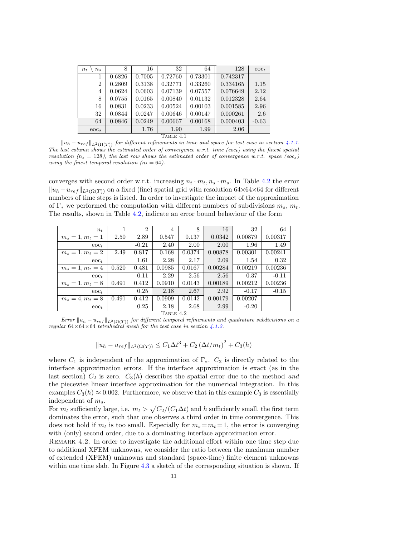| $n_{t}$<br>$n_{s}$ | 8      | 16     | 32      | 64      | 128      | $\text{eoc}_t$ |  |  |
|--------------------|--------|--------|---------|---------|----------|----------------|--|--|
| 1                  | 0.6826 | 0.7005 | 0.72760 | 0.73301 | 0.742317 |                |  |  |
| $\overline{2}$     | 0.2809 | 0.3138 | 0.32771 | 0.33260 | 0.334165 | 1.15           |  |  |
| 4                  | 0.0624 | 0.0603 | 0.07139 | 0.07557 | 0.076649 | 2.12           |  |  |
| 8                  | 0.0755 | 0.0165 | 0.00840 | 0.01132 | 0.012328 | 2.64           |  |  |
| 16                 | 0.0831 | 0.0233 | 0.00524 | 0.00103 | 0.001585 | 2.96           |  |  |
| 32                 | 0.0844 | 0.0247 | 0.00646 | 0.00147 | 0.000261 | 2.6            |  |  |
| 64                 | 0.0846 | 0.0249 | 0.00667 | 0.00168 | 0.000403 | $-0.63$        |  |  |
| eoc <sub>s</sub>   |        | 1.76   | 1.90    | 1.99    | 2.06     |                |  |  |
| TABLE 4.1          |        |        |         |         |          |                |  |  |

<span id="page-11-0"></span> $\|u_h - u_{ref}\|_{L^2(\Omega(T))}$  for different refinements in time and space for test case in section [4.1.1.](#page-10-0) The last column shows the estimated order of convergence w.r.t. time (eoc<sub>t</sub>) using the finest spatial resolution ( $n_s = 128$ ), the last row shows the estimated order of convergence w.r.t. space (eoc<sub>s</sub>) using the finest temporal resolution ( $n_t = 64$ ).

converges with second order w.r.t. increasing  $n_t \cdot m_t, n_s \cdot m_s$ . In Table [4.2](#page-11-1) the error  $||u_h - u_{ref}||_{L^2(\Omega(T))}$  on a fixed (fine) spatial grid with resolution 64×64×64 for different numbers of time steps is listed. In order to investigate the impact of the approximation of  $\Gamma_*$  we performed the computation with different numbers of subdivisions  $m_s$ ,  $m_t$ . The results, shown in Table [4.2,](#page-11-1) indicate an error bound behaviour of the form

| $n_{t}$            | 1     | $\overline{2}$ | $\overline{4}$ | 8      | 16      | 32      | 64      |
|--------------------|-------|----------------|----------------|--------|---------|---------|---------|
| $m_s = 1, m_t = 1$ | 2.50  | 2.89           | 0.547          | 0.137  | 0.0342  | 0.00879 | 0.00317 |
| $\mathrm{eoc}_t$   |       | $-0.21$        | 2.40           | 2.00   | 2.00    | 1.96    | 1.49    |
| $m_s = 1, m_t = 2$ | 2.49  | 0.817          | 0.168          | 0.0374 | 0.00878 | 0.00301 | 0.00241 |
| $\mathrm{eoc}_t$   |       | 1.61           | 2.28           | 2.17   | 2.09    | 1.54    | 0.32    |
| $m_s = 1, m_t = 4$ | 0.520 | 0.481          | 0.0985         | 0.0167 | 0.00284 | 0.00219 | 0.00236 |
| $\rm{eoc}$         |       | 0.11           | 2.29           | 2.56   | 2.56    | 0.37    | $-0.11$ |
| $m_s = 1, m_t = 8$ | 0.491 | 0.412          | 0.0910         | 0.0143 | 0.00189 | 0.00212 | 0.00236 |
| $\mathrm{eoc}_t$   |       | 0.25           | 2.18           | 2.67   | 2.92    | $-0.17$ | $-0.15$ |
| $m_s = 4, m_t = 8$ | 0.491 | 0.412          | 0.0909         | 0.0142 | 0.00179 | 0.00207 |         |
| $\mathrm{eoc}_t$   |       | 0.25           | 2.18           | 2.68   | 2.99    | $-0.20$ |         |
| TABLE 4.2          |       |                |                |        |         |         |         |

<span id="page-11-1"></span>Error  $\|u_h - u_{ref}\|_{L^2(\Omega(T))}$  for different temporal refinements and quadrature subdivisions on a regular 64×64×64 tetrahedral mesh for the test case in section [4.1.2.](#page-10-2)

<span id="page-11-2"></span>
$$
||u_h - u_{ref}||_{L^2(\Omega(T))} \le C_1 \Delta t^3 + C_2 (\Delta t/m_t)^2 + C_3(h)
$$

where  $C_1$  is independent of the approximation of  $\Gamma_*$ .  $C_2$  is directly related to the interface approximation errors. If the interface approximation is exact (as in the last section)  $C_2$  is zero.  $C_3(h)$  describes the spatial error due to the method and the piecewise linear interface approximation for the numerical integration. In this examples  $C_3(h) \approx 0.002$ . Furthermore, we observe that in this example  $C_3$  is essentially independent of  $m_s$ .

For  $m_t$  sufficiently large, i.e.  $m_t > \sqrt{C_2/(C_1\Delta t)}$  and h sufficiently small, the first term dominates the error, such that one observes a third order in time convergence. This does not hold if  $m_t$  is too small. Especially for  $m_s = m_t = 1$ , the error is converging with (only) second order, due to a dominating interface approximation error.

REMARK 4.2. In order to investigate the additional effort within one time step due to additional XFEM unknowns, we consider the ratio between the maximum number of extended (XFEM) unknowns and standard (space-time) finite element unknowns within one time slab. In Figure [4.3](#page-12-0) a sketch of the corresponding situation is shown. If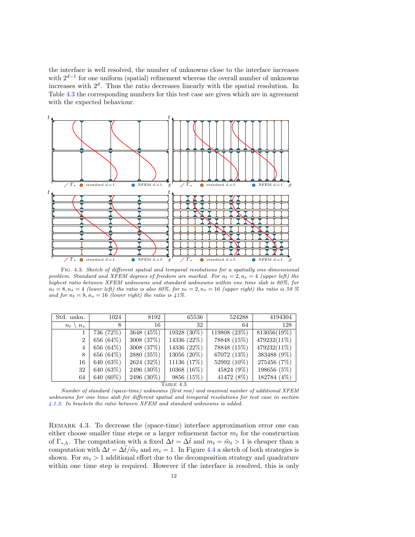the interface is well resolved, the number of unknowns close to the interface increases with  $2^{d-1}$  for one uniform (spatial) refinement whereas the overall number of unknowns increases with  $2<sup>d</sup>$ . Thus the ratio decreases linearly with the spatial resolution. In Table [4.3](#page-12-1) the corresponding numbers for this test case are given which are in agreement with the expected behaviour.



<span id="page-12-0"></span>Fig. 4.3. Sketch of different spatial and temporal resolutions for a spatially one-dimensional problem. Standard and XFEM degrees of freedom are marked. For  $n_t = 2, n_s = 4$  (upper left) the highest ratio between XFEM unknowns and standard unknowns within one time slab is 80%, for  $n_t = 8, n_s = 4$  (lower left) the ratio is also 80%, for  $n_t = 2, n_s = 16$  (upper right) the ratio is 59 % and for  $n_t = 8$ ,  $n_s = 16$  (lower right) the ratio is 41%.

| Std. unkn.         | 1024       | 8192                                   | 65536        | 524288       | 4194304        |
|--------------------|------------|----------------------------------------|--------------|--------------|----------------|
| $n_{s}$<br>$n_{t}$ | 8          | 16                                     | 32           | 64           | 128            |
|                    | 736 (72%)  | 3648 (45\%)                            | 19328 (30%)  | 119808 (23%) | $813056(19\%)$ |
| $\overline{2}$     | 656 (64\%) | 3008 (37\%)                            | 14336 (22\%) | 78848 (15%)  | $479232(11\%)$ |
| 4                  | 656 (64\%) | 3008 (37%)                             | 14336 (22%)  | 78848 (15%)  | 479232(11%)    |
| 8                  | 656 (64\%) | 2880 (35%)                             | 13056 (20%)  | 67072 (13%)  | 383488 (9%)    |
| 16                 | 640 (63%)  | 2624 (32%)                             | 11136 (17%)  | 52992 (10%)  | 275456 (7%)    |
| 32                 | 640 (63%)  | 2496 (30\%)                            | 10368 (16\%) | 45824 (9%)   | 198656 (5%)    |
| 64                 | 640 (60%)  | 2496 (30%)<br>$\overline{\phantom{a}}$ | 9856 (15%)   | 41472 (8%)   | 182784 (4%)    |

TABLE  $4.3$ 

<span id="page-12-1"></span>Number of standard (space-time) unknowns (first row) and maximal number of additional XFEM unknowns for one time slab for different spatial and temporal resolutions for test case in section [4.1.2.](#page-10-2) In brackets the ratio between XFEM and standard unknowns is added.

Remark 4.3. To decrease the (space-time) interface approximation error one can either choose smaller time steps or a larger refinement factor  $m_t$  for the construction of  $\Gamma_{*,h}$ . The computation with a fixed  $\Delta t = \Delta t$  and  $m_t = \tilde{m}_t > 1$  is cheaper than a computation with  $\Delta t = \Delta \tilde{t}/\tilde{m}_t$  and  $m_t = 1$ . In Figure [4.4](#page-13-0) a sketch of both strategies is shown. For  $m_t > 1$  additional effort due to the decomposition strategy and quadrature within one time step is required. However if the interface is resolved, this is only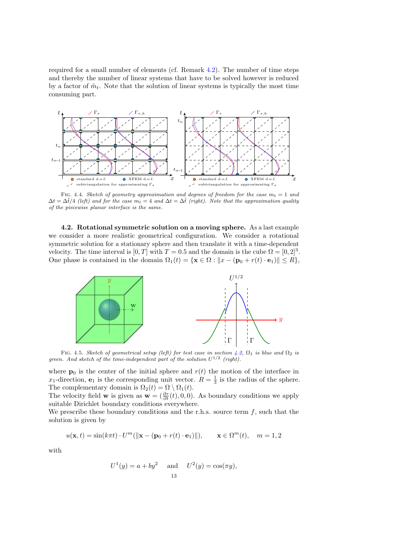required for a small number of elements (cf. Remark [4.2\)](#page-11-2). The number of time steps and thereby the number of linear systems that have to be solved however is reduced by a factor of  $\tilde{m}_t$ . Note that the solution of linear systems is typically the most time consuming part.



<span id="page-13-0"></span>FIG. 4.4. Sketch of geometry approximation and degrees of freedom for the case  $m_t = 1$  and  $\Delta t = \Delta \tilde{t}/4$  (left) and for the case  $m_t = 4$  and  $\Delta t = \Delta \tilde{t}$  (right). Note that the approximation quality of the piecewise planar interface is the same.

<span id="page-13-1"></span>4.2. Rotational symmetric solution on a moving sphere. As a last example we consider a more realistic geometrical configuration. We consider a rotational symmetric solution for a stationary sphere and then translate it with a time-dependent velocity. The time interval is  $[0, T]$  with  $T = 0.5$  and the domain is the cube  $\Omega = [0, 2]^3$ . One phase is contained in the domain  $\Omega_1(t) = \{ \mathbf{x} \in \Omega : ||x - (\mathbf{p}_0 + r(t) \cdot \mathbf{e}_1)|| \le R \},\$ 



FIG. 4.5. Sketch of geometrical setup (left) for test case in section [4.2,](#page-13-1)  $\Omega_1$  is blue and  $\Omega_2$  is green. And sketch of the time-independent part of the solution  $U^{1/2}$  (right).

where  $\mathbf{p}_0$  is the center of the initial sphere and  $r(t)$  the motion of the interface in  $x_1$ -direction,  $e_1$  is the corresponding unit vector.  $R = \frac{1}{3}$  is the radius of the sphere. The complementary domain is  $\Omega_2(t) = \Omega \setminus \Omega_1(t)$ .

The velocity field **w** is given as  $\mathbf{w} = (\frac{\partial r}{\partial t}(t), 0, 0)$ . As boundary conditions we apply suitable Dirichlet boundary conditions everywhere.

We prescribe these boundary conditions and the r.h.s. source term  $f$ , such that the solution is given by

$$
u(\mathbf{x},t) = \sin(k\pi t) \cdot U^m(||\mathbf{x} - (\mathbf{p}_0 + r(t) \cdot \mathbf{e}_1)||), \quad \mathbf{x} \in \Omega^m(t), \quad m = 1, 2
$$

with

$$
U^1(y) = a + by^2
$$
 and  $U^2(y) = \cos(\pi y),$   
13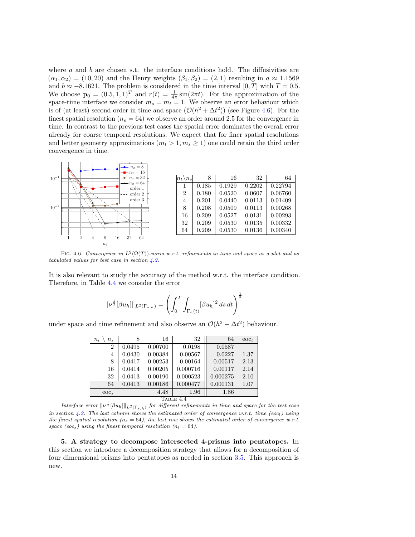where  $a$  and  $b$  are chosen s.t. the interface conditions hold. The diffusivities are  $(\alpha_1, \alpha_2) = (10, 20)$  and the Henry weights  $(\beta_1, \beta_2) = (2, 1)$  resulting in  $a \approx 1.1569$ and  $b \approx -8.1621$ . The problem is considered in the time interval  $[0, T]$  with  $T = 0.5$ . We choose  $\mathbf{p}_0 = (0.5, 1, 1)^T$  and  $r(t) = \frac{1}{4\pi} \sin(2\pi t)$ . For the approximation of the space-time interface we consider  $m_s = m_t = 1$ . We observe an error behaviour which is of (at least) second order in time and space  $(\mathcal{O}(h^2 + \Delta t^2))$  (see Figure [4.6\)](#page-14-1). For the finest spatial resolution ( $n_s = 64$ ) we observe an order around 2.5 for the convergence in time. In contrast to the previous test cases the spatial error dominates the overall error already for coarse temporal resolutions. We expect that for finer spatial resolutions and better geometry approximations  $(m_t > 1, m_s \ge 1)$  one could retain the third order convergence in time.



<span id="page-14-1"></span>FIG. 4.6. Convergence in  $L^2(\Omega(T))$ -norm w.r.t. refinements in time and space as a plot and as tabulated values for test case in section [4.2.](#page-13-1)

It is also relevant to study the accuracy of the method w.r.t. the interface condition. Therefore, in Table [4.4](#page-14-2) we consider the error

$$
\|\nu^{\frac{1}{2}}[\beta u_h]\|_{L^2(\Gamma_{*,h})} = \left(\int_0^T \int_{\Gamma_h(t)} [\beta u_h]^2 ds dt\right)^{\frac{1}{2}}
$$

under space and time refinement and also observe an  $\mathcal{O}(h^2 + \Delta t^2)$  behaviour.

| $n_{t}$<br>$n_{s}$ | 8      | 16      | 32       | 64       | $\mathrm{eoc}_t$ |  |  |
|--------------------|--------|---------|----------|----------|------------------|--|--|
| $\overline{2}$     | 0.0495 | 0.00700 | 0.0198   | 0.0587   |                  |  |  |
| 4                  | 0.0430 | 0.00384 | 0.00567  | 0.0227   | 1.37             |  |  |
| 8                  | 0.0417 | 0.00253 | 0.00164  | 0.00517  | 2.13             |  |  |
| 16                 | 0.0414 | 0.00205 | 0.000716 | 0.00117  | 2.14             |  |  |
| 32                 | 0.0413 | 0.00190 | 0.000523 | 0.000275 | 2.10             |  |  |
| 64                 | 0.0413 | 0.00186 | 0.000477 | 0.000131 | 1.07             |  |  |
| eoc <sub>s</sub>   |        | 4.48    | 1.96     | 1.86     |                  |  |  |
| TABLE 4.4          |        |         |          |          |                  |  |  |

<span id="page-14-2"></span>Interface error  $||v^{\frac{1}{2}}[\beta u_h]||_{L^2(\Gamma_{*,h})}$  for different refinements in time and space for the test case in section [4.2.](#page-13-1) The last column shows the estimated order of convergence w.r.t. time (eoc<sub>t</sub>) using the finest spatial resolution ( $n_s = 64$ ), the last row shows the estimated order of convergence w.r.t. space (eocs) using the finest temporal resolution ( $n_t = 64$ ).

<span id="page-14-0"></span>5. A strategy to decompose intersected 4-prisms into pentatopes. In this section we introduce a decomposition strategy that allows for a decomposition of four dimensional prisms into pentatopes as needed in section [3.5.](#page-9-1) This approach is new.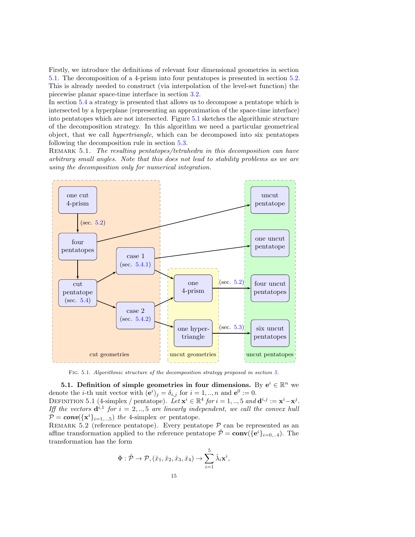Firstly, we introduce the definitions of relevant four dimensional geometries in section [5.1.](#page-15-0) The decomposition of a 4-prism into four pentatopes is presented in section [5.2.](#page-17-0) This is already needed to construct (via interpolation of the level-set function) the piecewise planar space-time interface in section [3.2.](#page-7-0)

In section [5.4](#page-18-0) a strategy is presented that allows us to decompose a pentatope which is intersected by a hyperplane (representing an approximation of the space-time interface) into pentatopes which are not intersected. Figure [5.1](#page-4-0) sketches the algorithmic structure of the decomposition strategy. In this algorithm we need a particular geometrical object, that we call hypertriangle, which can be decomposed into six pentatopes following the decomposition rule in section [5.3.](#page-17-1)

REMARK 5.1. The resulting pentatopes/tetrahedra in this decomposition can have arbitrary small angles. Note that this does not lead to stability problems as we are using the decomposition only for numerical integration.



Fig. 5.1. Algorithmic structure of the decomposition strategy proposed in section [5.](#page-14-0)

<span id="page-15-0"></span>5.1. Definition of simple geometries in four dimensions. By  $e^i \in \mathbb{R}^n$  we denote the *i*-th unit vector with  $(e^{i})_{j} = \delta_{i,j}$  for  $i = 1, ..., n$  and  $e^{0} := 0$ . DEFINITION 5.1 (4-simplex / pentatope). Let  $\mathbf{x}^i \in \mathbb{R}^4$  for  $i = 1, ..., 5$  and  $\mathbf{d}^{i,j} := \mathbf{x}^i - \mathbf{x}^j$ . Iff the vectors  $\mathbf{d}^{i,1}$  for  $i = 2,..,5$  are linearly independent, we call the convex hull  $P = conv(\{\mathbf{x}^i\}_{i=1, \dots, 5})$  the 4-simplex or pentatope.

REMARK 5.2 (reference pentatope). Every pentatope  $P$  can be represented as an affine transformation applied to the reference pentatope  $\hat{\mathcal{P}} = \text{conv}(\{e^i\}_{i=0,..4})$ . The transformation has the form

$$
\Phi: \hat{\mathcal{P}} \to \mathcal{P}, (\hat{x}_1, \hat{x}_2, \hat{x}_3, \hat{x}_4) \to \sum_{i=1}^5 \hat{\lambda}_i \mathbf{x}^i,
$$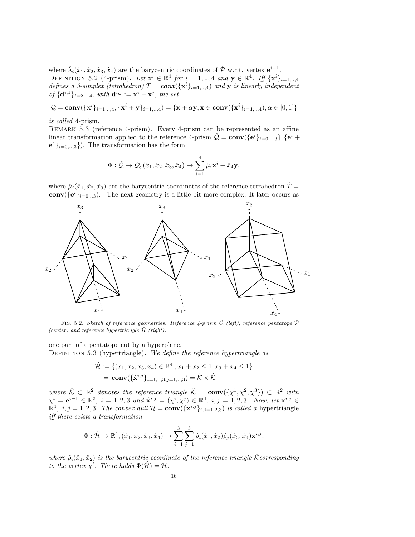where  $\hat{\lambda}_i(\hat{x}_1, \hat{x}_2, \hat{x}_3, \hat{x}_4)$  are the barycentric coordinates of  $\hat{\mathcal{P}}$  w.r.t. vertex  $e^{i-1}$ . DEFINITION 5.2 (4-prism). Let  $\mathbf{x}^i \in \mathbb{R}^4$  for  $i = 1,..,4$  and  $\mathbf{y} \in \mathbb{R}^4$ . Iff  $\{\mathbf{x}^i\}_{i=1,..,4}$ defines a 3-simplex (tetrahedron)  $T = \text{conv}(\{\mathbf{x}^i\}_{i=1...,1})$  and y is linearly independent of  $\{\mathbf d^{i,1}\}_{i=2,\dots,4}$ , with  $\mathbf d^{i,j} := \mathbf x^i - \mathbf x^j$ , the set

$$
Q = \mathbf{conv}(\{\mathbf{x}^i\}_{i=1,..,4}, \{\mathbf{x}^i + \mathbf{y}\}_{i=1,..,4}) = \{\mathbf{x} + \alpha \mathbf{y}, \mathbf{x} \in \mathbf{conv}(\{\mathbf{x}^i\}_{i=1,..,4}), \alpha \in [0,1]\}
$$

is called 4-prism.

Remark 5.3 (reference 4-prism). Every 4-prism can be represented as an affine linear transformation applied to the reference 4-prism  $\hat{Q} = \text{conv}(\{e^i\}_{i=0,..,3}\}, \{e^i +$  $\mathbf{e}^{4}\}_{i=0, \ldots, 3}$ . The transformation has the form

$$
\Phi: \hat{\mathcal{Q}} \to \mathcal{Q}, (\hat{x}_1, \hat{x}_2, \hat{x}_3, \hat{x}_4) \to \sum_{i=1}^4 \hat{\mu}_i \mathbf{x}^i + \hat{x}_4 \mathbf{y},
$$

where  $\hat{\mu}_i(\hat{x}_1, \hat{x}_2, \hat{x}_3)$  are the barycentric coordinates of the reference tetrahedron  $\hat{T} =$ **conv**( ${e^{i}}_{i=0...3}$ ). The next geometry is a little bit more complex. It later occurs as



FIG. 5.2. Sketch of reference geometries. Reference 4-prism  $\hat{Q}$  (left), reference pentatope  $\hat{\mathcal{P}}$ (center) and reference hypertriangle  $\hat{\mathcal{H}}$  (right).

<span id="page-16-0"></span>one part of a pentatope cut by a hyperplane. DEFINITION  $5.3$  (hypertriangle). We define the reference hypertriangle as

$$
\hat{\mathcal{H}} := \{ (x_1, x_2, x_3, x_4) \in \mathbb{R}_+^4, x_1 + x_2 \le 1, x_3 + x_4 \le 1 \}
$$

$$
= \mathbf{conv}(\{\hat{\mathbf{x}}^{i,j}\}_{i=1,\dots,3,j=1,\dots,3}) = \hat{\mathcal{K}} \times \hat{\mathcal{K}}
$$

where  $\hat{\mathcal{K}} \subset \mathbb{R}^2$  denotes the reference triangle  $\hat{\mathcal{K}} = \text{conv}(\{\chi^1, \chi^2, \chi^3\}) \subset \mathbb{R}^2$  with  $\chi^i = e^{i-1} \in \mathbb{R}^2$ ,  $i = 1, 2, 3$  and  $\hat{\mathbf{x}}^{i,j} = (\chi^i, \chi^j) \in \mathbb{R}^4$ ,  $i, j = 1, 2, 3$ . Now, let  $\mathbf{x}^{i,j} \in$  $\mathbb{R}^4$ ,  $i, j = 1, 2, 3$ . The convex hull  $\mathcal{H} = \text{conv}(\{\mathbf{x}^{i,j}\}_{i,j=1,2,3})$  is called a hypertriangle iff there exists a transformation

$$
\Phi: \hat{\mathcal{H}} \to \mathbb{R}^4, (\hat{x}_1, \hat{x}_2, \hat{x}_3, \hat{x}_4) \to \sum_{i=1}^3 \sum_{j=1}^3 \hat{\rho}_i(\hat{x}_1, \hat{x}_2) \hat{\rho}_j(\hat{x}_3, \hat{x}_4) \mathbf{x}^{i,j},
$$

where  $\hat{\rho}_i(\hat{x}_1, \hat{x}_2)$  is the barycentric coordinate of the reference triangle K corresponding to the vertex  $\chi^i$ . There holds  $\Phi(\hat{\mathcal{H}}) = \mathcal{H}$ .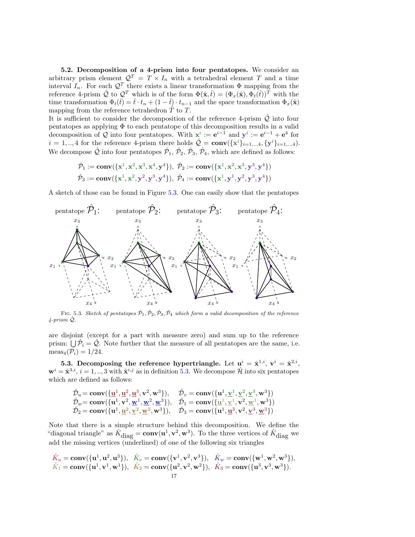<span id="page-17-0"></span>5.2. Decomposition of a 4-prism into four pentatopes. We consider an arbitrary prism element  $\mathcal{Q}^T = T \times I_n$  with a tetrahedral element T and a time interval  $I_n$ . For each  $\mathcal{Q}^T$  there exists a linear transformation  $\Phi$  mapping from the reference 4-prism  $\hat{Q}$  to  $Q^T$  which is of the form  $\Phi(\hat{\mathbf{x}}, \hat{t}) = (\Phi_x(\hat{\mathbf{x}}), \Phi_t(\hat{t}))^T$  with the time transformation  $\Phi_t(\hat{t}) = \hat{t} \cdot t_n + (1 - \hat{t}) \cdot t_{n-1}$  and the space transformation  $\Phi_x(\hat{\mathbf{x}})$ mapping from the reference tetrahedron  $T$  to  $T$ .

It is sufficient to consider the decomposition of the reference 4-prism  $\hat{Q}$  into four pentatopes as applying  $\Phi$  to each pentatope of this decomposition results in a valid decomposition of Q into four pentatopes. With  $x^i := e^{i-1}$  and  $y^i := e^{i-1} + e^4$  for  $i = 1, ..., 4$  for the reference 4-prism there holds  $\hat{Q} = \text{conv}(\{\mathbf{x}^i\}_{i=1, ..., 4}, \{\mathbf{y}^i\}_{i=1, ..., 4})$ . We decompose  $\hat{Q}$  into four pentatopes  $\hat{\mathcal{P}}_1$ ,  $\hat{\mathcal{P}}_2$ ,  $\hat{\mathcal{P}}_3$ ,  $\hat{\mathcal{P}}_4$ , which are defined as follows:

$$
\hat{\mathcal{P}}_1 := \text{conv}(\{x^1, x^2, x^3, x^4, y^4\}), \ \hat{\mathcal{P}}_2 := \text{conv}(\{x^1, x^2, x^3, y^3, y^4\})
$$
\n
$$
\hat{\mathcal{P}}_3 := \text{conv}(\{x^1, x^2, y^2, y^3, y^4\}), \ \hat{\mathcal{P}}_4 := \text{conv}(\{x^1, y^1, y^2, y^3, y^4\})
$$

A sketch of those can be found in Figure [5.3.](#page-12-0) One can easily show that the pentatopes



FIG. 5.3. Sketch of pentatopes  $\hat{\mathcal{P}}_1, \hat{\mathcal{P}}_2, \hat{\mathcal{P}}_3, \hat{\mathcal{P}}_4$  which form a valid decomposition of the reference  $4$ -prism  $\hat{Q}$ .

are disjoint (except for a part with measure zero) and sum up to the reference prism:  $\bigcup \hat{\mathcal{P}}_i = \hat{\mathcal{Q}}$ . Note further that the measure of all pentatopes are the same, i.e.  $meas_4(\mathcal{P}_i) = 1/24.$ 

<span id="page-17-1"></span>5.3. Decomposing the reference hypertriangle. Let  $u^i = \hat{x}^{1,i}$ ,  $v^i = \hat{x}^{2,i}$ ,  $\mathbf{w}^i = \hat{\mathbf{x}}^{3,i}, i = 1, ..., 3$  with  $\hat{\mathbf{x}}^{i,j}$  as in definition [5.3.](#page-16-0) We decompose  $\hat{\mathcal{H}}$  into six pentatopes which are defined as follows:

$$
\hat{\mathcal{D}}_u = \mathbf{conv}\left(\{\underline{\mathbf{u}}^1, \underline{\mathbf{u}}^2, \underline{\mathbf{u}}^3, \mathbf{v}^2, \mathbf{w}^3\right), \quad \hat{\mathcal{D}}_v = \mathbf{conv}\left(\{\mathbf{u}^1, \underline{\mathbf{v}}^1, \underline{\mathbf{v}}^2, \underline{\mathbf{v}}^3, \mathbf{w}^3\right)\right) \n\hat{\mathcal{D}}_w = \mathbf{conv}\left(\{\mathbf{u}^1, \mathbf{v}^2, \underline{\mathbf{w}}^1, \underline{\mathbf{w}}^2, \underline{\mathbf{w}}^3\}\right), \quad \hat{\mathcal{D}}_1 = \mathbf{conv}\left(\{\underline{\mathbf{u}}^1, \underline{\mathbf{v}}^1, \mathbf{v}^2, \underline{\mathbf{w}}^1, \mathbf{w}^3\}\right) \n\hat{\mathcal{D}}_2 = \mathbf{conv}\left(\{\mathbf{u}^1, \underline{\mathbf{u}}^2, \underline{\mathbf{v}}^2, \underline{\mathbf{w}}^2, \mathbf{w}^3\}\right), \quad \hat{\mathcal{D}}_3 = \mathbf{conv}\left(\{\mathbf{u}^1, \underline{\mathbf{u}}^3, \mathbf{v}^2, \underline{\mathbf{v}}^3, \underline{\mathbf{w}}^3\}\right)
$$

Note that there is a simple structure behind this decomposition. We define the "diagonal triangle" as  $\hat{K}_{\text{diag}} = \text{conv}(\mathbf{u}^1, \mathbf{v}^2, \mathbf{w}^3)$ . To the three vertices of  $\hat{K}_{\text{diag}}$  we add the missing vertices (underlined) of one of the following six triangles

$$
\hat{K}_u = \text{conv}(\{\mathbf{u}^1, \mathbf{u}^2, \mathbf{u}^3\}), \quad \hat{K}_v = \text{conv}(\{\mathbf{v}^1, \mathbf{v}^2, \mathbf{v}^3\}), \quad \hat{K}_w = \text{conv}(\{\mathbf{w}^1, \mathbf{w}^2, \mathbf{w}^3\}), \n\hat{K}_1 = \text{conv}(\{\mathbf{u}^1, \mathbf{v}^1, \mathbf{w}^1\}), \quad \hat{K}_2 = \text{conv}(\{\mathbf{u}^2, \mathbf{v}^2, \mathbf{w}^2\}), \quad \hat{K}_3 = \text{conv}(\{\mathbf{u}^3, \mathbf{v}^3, \mathbf{w}^3\}).
$$
\n
$$
17
$$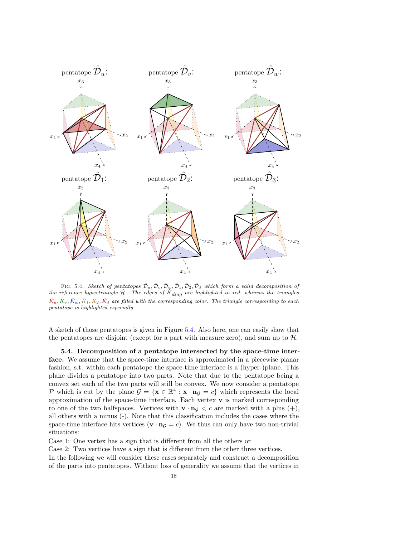

FIG. 5.4. Sketch of pentatopes  $\hat{\mathcal{D}}_u, \hat{\mathcal{D}}_v, \hat{\mathcal{D}}_w, \hat{\mathcal{D}}_1, \hat{\mathcal{D}}_2, \hat{\mathcal{D}}_3$  which form a valid decomposition of the reference hypertriangle  $\hat{\mathcal{H}}$ . The edges of  $\hat{K}_{diag}$  are highlighted in red, whereas the triangles  $\hat{K}_u, \hat{K}_v, \hat{K}_w, \hat{K}_1, \hat{K}_2, \hat{K}_3$  are filled with the corresponding color. The triangle corresponding to each pentatope is highlighted especially.

A sketch of those pentatopes is given in Figure [5.4.](#page-13-0) Also here, one can easily show that the pentatopes are disjoint (except for a part with measure zero), and sum up to  $\mathcal{H}$ .

<span id="page-18-0"></span>5.4. Decomposition of a pentatope intersected by the space-time interface. We assume that the space-time interface is approximated in a piecewise planar fashion, s.t. within each pentatope the space-time interface is a (hyper-)plane. This plane divides a pentatope into two parts. Note that due to the pentatope being a convex set each of the two parts will still be convex. We now consider a pentatope P which is cut by the plane  $\mathcal{G} = \{ \mathbf{x} \in \mathbb{R}^4 : \mathbf{x} \cdot \mathbf{n}_{\mathcal{G}} = c \}$  which represents the local approximation of the space-time interface. Each vertex  $\bf{v}$  is marked corresponding to one of the two halfspaces. Vertices with  $\mathbf{v} \cdot \mathbf{n}_G < c$  are marked with a plus  $(+)$ , all others with a minus (-). Note that this classification includes the cases where the space-time interface hits vertices  $(\mathbf{v} \cdot \mathbf{n}_{\mathcal{G}} = c)$ . We thus can only have two non-trivial situations:

Case 1: One vertex has a sign that is different from all the others or

Case 2: Two vertices have a sign that is different from the other three vertices.

In the following we will consider these cases separately and construct a decomposition of the parts into pentatopes. Without loss of generality we assume that the vertices in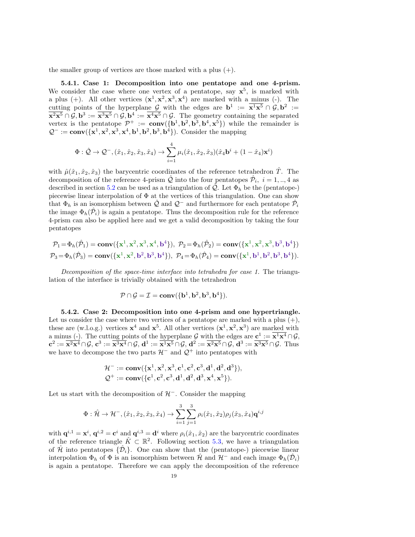the smaller group of vertices are those marked with a plus  $(+)$ .

<span id="page-19-0"></span>5.4.1. Case 1: Decomposition into one pentatope and one 4-prism. We consider the case where one vertex of a pentatope, say  $x^5$ , is marked with a plus (+). All other vertices  $(\mathbf{x}^1, \mathbf{x}^2, \mathbf{x}^3, \mathbf{x}^4)$  are marked with a minus (-). The cutting points of the hyperplane G with the edges are  $\mathbf{b}^1 := \overline{\mathbf{x}^1 \mathbf{x}^5} \cap \mathcal{G}, \mathbf{b}^2 :=$  $\overline{\mathbf{x^2x^5}} \cap \mathcal{G}, \mathbf{b}^3 := \overline{\mathbf{x^3x^5}} \cap \mathcal{G}, \mathbf{b}^4 := \overline{\mathbf{x^4x^5}} \cap \mathcal{G}.$  The geometry containing the separated vertex is the pentatope  $\mathcal{P}^+ := \text{conv}(\{\mathbf{b}^1, \mathbf{b}^2, \mathbf{b}^3, \mathbf{b}^4, \mathbf{x}^5\})$  while the remainder is  $\mathcal{Q}^- := \text{conv}(\{\mathbf{x}^1, \mathbf{x}^2, \mathbf{x}^3, \mathbf{x}^4, \mathbf{b}^1, \mathbf{b}^2, \mathbf{b}^3, \mathbf{b}^4\})$ . Consider the mapping

$$
\Phi: \hat{\mathcal{Q}} \to \mathcal{Q}^-, (\hat{x}_1, \hat{x}_2, \hat{x}_3, \hat{x}_4) \to \sum_{i=1}^4 \mu_i(\hat{x}_1, \hat{x}_2, \hat{x}_3)(\hat{x}_4 \mathbf{b}^i + (1 - \hat{x}_4) \mathbf{x}^i)
$$

with  $\hat{\mu}(\hat{x}_1, \hat{x}_2, \hat{x}_3)$  the barycentric coordinates of the reference tetrahedron  $\hat{T}$ . The decomposition of the reference 4-prism  $\hat{\mathcal{Q}}$  into the four pentatopes  $\hat{\mathcal{P}}_i$ ,  $i = 1, ..., 4$  as described in section [5.2](#page-17-0) can be used as a triangulation of  $\mathcal{Q}$ . Let  $\Phi_h$  be the (pentatope-) piecewise linear interpolation of  $\Phi$  at the vertices of this triangulation. One can show that  $\Phi_h$  is an isomorphism between  $\hat{Q}$  and  $\mathcal{Q}^-$  and furthermore for each pentatope  $\hat{\mathcal{P}}_i$ the image  $\Phi_h(\hat{\mathcal{P}}_i)$  is again a pentatope. Thus the decomposition rule for the reference 4-prism can also be applied here and we get a valid decomposition by taking the four pentatopes

$$
\mathcal{P}_1 = \Phi_h(\hat{\mathcal{P}}_1) = \mathbf{conv}(\{\mathbf{x}^1, \mathbf{x}^2, \mathbf{x}^3, \mathbf{x}^4, \mathbf{b}^4\}), \ \mathcal{P}_2 = \Phi_h(\hat{\mathcal{P}}_2) = \mathbf{conv}(\{\mathbf{x}^1, \mathbf{x}^2, \mathbf{x}^3, \mathbf{b}^3, \mathbf{b}^4\})
$$
  

$$
\mathcal{P}_3 = \Phi_h(\hat{\mathcal{P}}_3) = \mathbf{conv}(\{\mathbf{x}^1, \mathbf{x}^2, \mathbf{b}^2, \mathbf{b}^3, \mathbf{b}^4\}), \ \mathcal{P}_4 = \Phi_h(\hat{\mathcal{P}}_4) = \mathbf{conv}(\{\mathbf{x}^1, \mathbf{b}^1, \mathbf{b}^2, \mathbf{b}^3, \mathbf{b}^4\}).
$$

Decomposition of the space-time interface into tetrahedra for case 1. The triangulation of the interface is trivially obtained with the tetrahedron

$$
\mathcal{P}\cap \mathcal{G}=\mathcal{I}=\mathbf{conv}(\{\mathbf{b}^1, \mathbf{b}^2, \mathbf{b}^3, \mathbf{b}^4\}).
$$

<span id="page-19-1"></span>5.4.2. Case 2: Decomposition into one 4-prism and one hypertriangle. Let us consider the case where two vertices of a pentatope are marked with a plus  $(+)$ , these are (w.l.o.g.) vertices  $\mathbf{x}^4$  and  $\mathbf{x}^5$ . All other vertices  $(\mathbf{x}^1, \mathbf{x}^2, \mathbf{x}^3)$  are marked with a minus (-). The cutting points of the hyperplane G with the edges are  $c^1 := \overline{x^1 x^4} \cap \mathcal{G}$ ,  ${\bf c}^2:=\overline{{\bf x}^2{\bf x}^4}\cap\mathcal{G},\,{\bf c}^3:=\overline{{\bf x}^3{\bf x}^4}\cap\mathcal{G},\,{\bf d}^{1}:=\overline{{\bf x}^1{\bf x}^5}\cap\mathcal{G},\,{\bf d}^{2}:=\overline{{\bf x}^2{\bf x}^5}\cap\mathcal{G},\,{\bf d}^{3}:=\overline{{\bf x}^3{\bf x}^5}\cap\mathcal{G}.$  Thus we have to decompose the two parts  $\mathcal{H}^-$  and  $\mathcal{Q}^+$  into pentatopes with

$$
\mathcal{H}^-:=\mathrm{\mathbf{conv}}(\{\mathbf{x}^1,\mathbf{x}^2,\mathbf{x}^3,\mathbf{c}^1,\mathbf{c}^2,\mathbf{c}^3,\mathbf{d}^1,\mathbf{d}^2,\mathbf{d}^3\}),\\ \mathcal{Q}^+:=\mathrm{\mathbf{conv}}(\{\mathbf{c}^1,\mathbf{c}^2,\mathbf{c}^3,\mathbf{d}^1,\mathbf{d}^2,\mathbf{d}^3,\mathbf{x}^4,\mathbf{x}^5\}).
$$

Let us start with the decomposition of  $H^-$ . Consider the mapping

$$
\Phi: \hat{\mathcal{H}} \to \mathcal{H}^-, (\hat{x}_1, \hat{x}_2, \hat{x}_3, \hat{x}_4) \to \sum_{i=1}^3 \sum_{j=1}^3 \rho_i(\hat{x}_1, \hat{x}_2) \rho_j(\hat{x}_3, \hat{x}_4) \mathbf{q}^{i,j}
$$

with  $\mathbf{q}^{i,1} = \mathbf{x}^i$ ,  $\mathbf{q}^{i,2} = \mathbf{c}^i$  and  $\mathbf{q}^{i,3} = \mathbf{d}^i$  where  $\rho_i(\hat{x}_1, \hat{x}_2)$  are the barycentric coordinates of the reference triangle  $\hat{K} \subset \mathbb{R}^2$ . Following section [5.3,](#page-17-1) we have a triangulation of  $\hat{\mathcal{H}}$  into pentatopes  $\{\hat{\mathcal{D}}_i\}$ . One can show that the (pentatope-) piecewise linear interpolation  $\Phi_h$  of  $\Phi$  is an isomorphism between  $\hat{\mathcal{H}}$  and  $\mathcal{H}^-$  and each image  $\Phi_h(\hat{\mathcal{D}}_i)$ is again a pentatope. Therefore we can apply the decomposition of the reference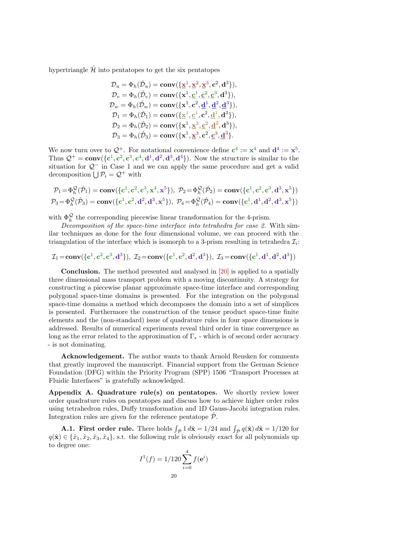hypertriangle  $\hat{\mathcal{H}}$  into pentatopes to get the six pentatopes

$$
\mathcal{D}_{u} = \Phi_{h}(\hat{\mathcal{D}}_{u}) = \mathbf{conv}(\{\mathbf{\underline{x}}^{1}, \mathbf{\underline{x}}^{2}, \mathbf{\underline{x}}^{3}, \mathbf{c}^{2}, \mathbf{d}^{3}\}),
$$
\n
$$
\mathcal{D}_{v} = \Phi_{h}(\hat{\mathcal{D}}_{v}) = \mathbf{conv}(\{\mathbf{x}^{1}, \mathbf{c}^{1}, \mathbf{c}^{2}, \mathbf{c}^{3}, \mathbf{d}^{3}\}),
$$
\n
$$
\mathcal{D}_{w} = \Phi_{h}(\hat{\mathcal{D}}_{w}) = \mathbf{conv}(\{\mathbf{x}^{1}, \mathbf{c}^{2}, \mathbf{d}^{1}, \mathbf{d}^{2}, \mathbf{d}^{3}\}),
$$
\n
$$
\mathcal{D}_{1} = \Phi_{h}(\hat{\mathcal{D}}_{1}) = \mathbf{conv}(\{\mathbf{\underline{x}}^{1}, \mathbf{c}^{1}, \mathbf{c}^{2}, \mathbf{d}^{1}, \mathbf{d}^{3}\}),
$$
\n
$$
\mathcal{D}_{2} = \Phi_{h}(\hat{\mathcal{D}}_{2}) = \mathbf{conv}(\{\mathbf{x}^{1}, \mathbf{\underline{x}}^{2}, \mathbf{c}^{2}, \mathbf{d}^{2}, \mathbf{d}^{3}\}),
$$
\n
$$
\mathcal{D}_{3} = \Phi_{h}(\hat{\mathcal{D}}_{3}) = \mathbf{conv}(\{\mathbf{x}^{1}, \mathbf{\underline{x}}^{3}, \mathbf{c}^{2}, \mathbf{c}^{3}, \mathbf{d}^{3}\}.
$$

We now turn over to  $\mathcal{Q}^+$ . For notational convenience define  $c^4 := x^4$  and  $d^4 := x^5$ . Thus  $Q^+ = \text{conv}(\{c^1, c^2, c^3, c^4, d^1, d^2, d^3, d^4\})$ . Now the structure is similar to the situation for Q<sup>−</sup> in Case 1 and we can apply the same procedure and get a valid decomposition  $\bigcup \mathcal{P}_i = \mathcal{Q}^+$  with

$$
\begin{aligned} \mathcal{P}_1 = \Phi_h^{\mathcal{Q}}(\hat{\mathcal{P}}_1) = \mathbf{conv}(\{c^1, c^2, c^3, x^4, x^5\}), \ \mathcal{P}_2 = \Phi_h^{\mathcal{Q}}(\hat{\mathcal{P}}_2) = \mathbf{conv}(\{c^1, c^2, c^3, d^3, x^5\}) \\ \mathcal{P}_3 = \Phi_h^{\mathcal{Q}}(\hat{\mathcal{P}}_3) = \mathbf{conv}(\{c^1, c^2, d^2, d^3, x^5\}), \ \mathcal{P}_4 = \Phi_h^{\mathcal{Q}}(\hat{\mathcal{P}}_4) = \mathbf{conv}(\{c^1, d^1, d^2, d^3, x^5\}) \end{aligned}
$$

with  $\Phi_h^{\mathcal{Q}}$  the corresponding piecewise linear transformation for the 4-prism.

Decomposition of the space-time interface into tetrahedra for case 2. With similar techniques as done for the four dimensional volume, we can proceed with the triangulation of the interface which is isomorph to a 3-prism resulting in tetrahedra  $\mathcal{I}_i$ :

$$
\mathcal{I}_1\!=\!\text{conv}(\{c^1,c^2,c^3,d^3\}),~\mathcal{I}_2\!=\!\text{conv}(\{c^1,c^2,d^2,d^3\}),~\mathcal{I}_3\!=\!\text{conv}(\{c^1,d^1,d^2,d^3\})
$$

Conclusion. The method presented and analysed in [\[20\]](#page-23-3) is applied to a spatially three dimensional mass transport problem with a moving discontinuity. A strategy for constructing a piecewise planar approximate space-time interface and corresponding polygonal space-time domains is presented. For the integration on the polygonal space-time domains a method which decomposes the domain into a set of simplices is presented. Furthermore the construction of the tensor product space-time finite elements and the (non-standard) issue of quadrature rules in four space dimensions is addressed. Results of numerical experiments reveal third order in time convergence as long as the error related to the approximation of  $\Gamma_*$  - which is of second order accuracy - is not dominating.

Acknowledgement. The author wants to thank Arnold Reusken for comments that greatly improved the manuscript. Financial support from the German Science Foundation (DFG) within the Priority Program (SPP) 1506 "Transport Processes at Fluidic Interfaces" is gratefully acknowledged.

<span id="page-20-0"></span>Appendix A. Quadrature rule(s) on pentatopes. We shortly review lower order quadrature rules on pentatopes and discuss how to achieve higher order rules using tetrahedron rules, Duffy transformation and 1D Gauss-Jacobi integration rules. Integration rules are given for the reference pentatope  $\hat{\mathcal{P}}$ .

**A.1. First order rule.** There holds  $\int_{\hat{\mathcal{P}}} 1 \, d\hat{\mathbf{x}} = 1/24$  and  $\int_{\hat{\mathcal{P}}} q(\hat{\mathbf{x}}) \, d\hat{\mathbf{x}} = 1/120$  for  $q(\hat{\mathbf{x}}) \in \{\hat{x}_1, \hat{x}_2, \hat{x}_3, \hat{x}_4\},$  s.t. the following rule is obviously exact for all polynomials up to degree one:

$$
I^{1}(f) = 1/120 \sum_{i=0}^{4} f(e^{i})
$$
  
20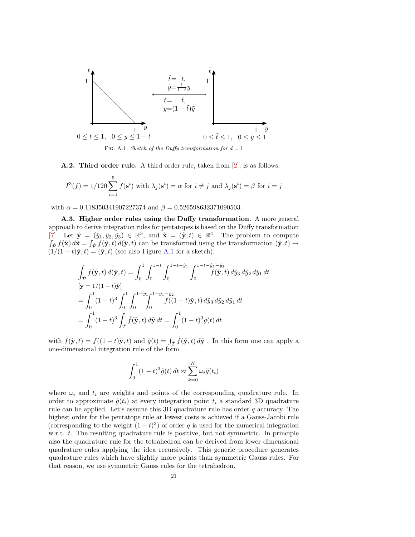

FIG. A.1. Sketch of the Duffy transformation for  $d = 1$ 

<span id="page-21-1"></span>A.2. Third order rule. A third order rule, taken from [\[2\]](#page-22-7), is as follows:

$$
I^3(f) = 1/120 \sum_{i=1}^{5} f(\mathbf{s}^i)
$$
 with  $\lambda_j(\mathbf{s}^i) = \alpha$  for  $i \neq j$  and  $\lambda_j(\mathbf{s}^i) = \beta$  for  $i = j$ 

with  $\alpha = 0.118350341907227374$  and  $\beta = 0.526598632371090503$ .

A.3. Higher order rules using the Duffy transformation. A more general approach to derive integration rules for pentatopes is based on the Duffy transformation [\[7\]](#page-22-8). Let  $\hat{\mathbf{y}} = (\hat{y}_1, \hat{y}_2, \hat{y}_3) \in \mathbb{R}^3$ , and  $\hat{\mathbf{x}} = (\hat{\mathbf{y}}, t) \in \mathbb{R}^4$ . The problem to compute  $\int_{\hat{\mathcal{P}}} f(\hat{\mathbf{x}}) d\hat{\mathbf{x}} = \int_{\hat{\mathcal{P}}} f(\hat{\mathbf{y}}, t) d(\hat{\mathbf{y}}, t)$  can be transformed using the transformation  $(\hat{\mathbf{y}}, t) \to$  $(1/(1-t)\hat{\mathbf{y}}, t) = (\tilde{\mathbf{y}}, t)$  (see also Figure [A.1](#page-4-0) for a sketch):

$$
\int_{\hat{\mathcal{P}}} f(\hat{\mathbf{y}}, t) d(\hat{\mathbf{y}}, t) = \int_0^1 \int_0^{1-t} \int_0^{1-t-\hat{y}_1} \int_0^{1-t-\hat{y}_1-\hat{y}_2} f(\hat{\mathbf{y}}, t) d\hat{y}_3 d\hat{y}_2 d\hat{y}_1 dt
$$
  
\n
$$
[\tilde{\mathbf{y}} = 1/(1-t)\hat{\mathbf{y}}]
$$
\n
$$
= \int_0^1 (1-t)^3 \int_0^1 \int_0^{1-\tilde{y}_1} \int_0^{1-\tilde{y}_1-\tilde{y}_2} f((1-t)\tilde{\mathbf{y}}, t) d\tilde{y}_3 d\tilde{y}_2 d\tilde{y}_1 dt
$$
\n
$$
= \int_0^1 (1-t)^3 \int_{\hat{T}} \tilde{f}(\tilde{\mathbf{y}}, t) d\tilde{\mathbf{y}} dt = \int_0^1 (1-t)^3 \tilde{g}(t) dt
$$

with  $\tilde{f}(\tilde{y}, t) = f((1 - t)\tilde{y}, t)$  and  $\tilde{g}(t) = \int_{\hat{T}} \tilde{f}(\tilde{y}, t) d\tilde{y}$ . In this form one can apply a one-dimensional integration rule of the form

<span id="page-21-0"></span>
$$
\int_0^1 (1-t)^3 \tilde{g}(t) dt \approx \sum_{k=0}^N \omega_i \tilde{g}(t_i)
$$

where  $\omega_i$  and  $t_i$  are weights and points of the corresponding quadrature rule. In order to approximate  $\tilde{g}(t_i)$  at every integration point  $t_i$  a standard 3D quadrature rule can be applied. Let's assume this 3D quadrature rule has order  $q$  accuracy. The highest order for the pentatope rule at lowest costs is achieved if a Gauss-Jacobi rule (corresponding to the weight  $(1-t)^3$ ) of order q is used for the numerical integration w.r.t. t. The resulting quadrature rule is positive, but not symmetric. In principle also the quadrature rule for the tetrahedron can be derived from lower dimensional quadrature rules applying the idea recursively. This generic procedure generates quadrature rules which have slightly more points than symmetric Gauss rules. For that reason, we use symmetric Gauss rules for the tetrahedron.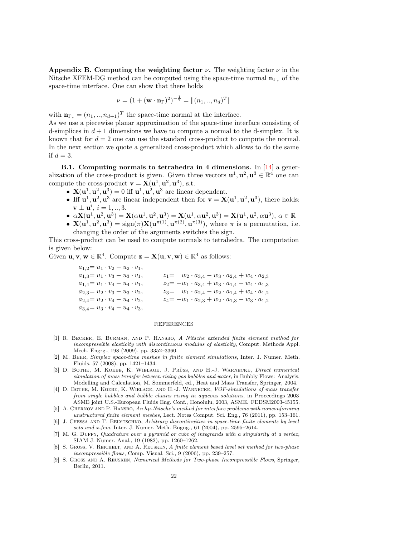Appendix B. Computing the weighting factor  $\nu$ . The weighting factor  $\nu$  in the Nitsche XFEM-DG method can be computed using the space-time normal  $n_{\Gamma_*}$  of the space-time interface. One can show that there holds

$$
\nu = (1 + (\mathbf{w} \cdot \mathbf{n}_{\Gamma})^2)^{-\frac{1}{2}} = ||(n_1,..,n_d)^T||
$$

with  $\mathbf{n}_{\Gamma_*} = (n_1, ..., n_{d+1})^T$  the space-time normal at the interface.

As we use a piecewise planar approximation of the space-time interface consisting of d-simplices in  $d+1$  dimensions we have to compute a normal to the d-simplex. It is known that for  $d = 2$  one can use the standard cross-product to compute the normal. In the next section we quote a generalized cross-product which allows to do the same if  $d=3$ .

B.1. Computing normals to tetrahedra in 4 dimensions. In  $[14]$  a generalization of the cross-product is given. Given three vectors  $\mathbf{u}^1, \mathbf{u}^2, \mathbf{u}^3 \in \mathbb{R}^4$  one can compute the cross-product  $\mathbf{v} = \mathbf{X}(\mathbf{u}^1, \mathbf{u}^2, \mathbf{u}^3)$ , s.t.

- $X(u^1, u^2, u^3) = 0$  iff  $u^1, u^2, u^3$  are linear dependent.
- Iff  $\mathbf{u}^1, \mathbf{u}^2, \mathbf{u}^3$  are linear independent then for  $\mathbf{v} = \mathbf{X}(\mathbf{u}^1, \mathbf{u}^2, \mathbf{u}^3)$ , there holds:  $\mathbf{v} \perp \mathbf{u}^i, i = 1, ..., 3.$
- $\alpha \mathbf{X}(\mathbf{u}^1, \mathbf{u}^2, \mathbf{u}^3) = \mathbf{X}(\alpha \mathbf{u}^1, \mathbf{u}^2, \mathbf{u}^3) = \mathbf{X}(\mathbf{u}^1, \alpha \mathbf{u}^2, \mathbf{u}^3) = \mathbf{X}(\mathbf{u}^1, \mathbf{u}^2, \alpha \mathbf{u}^3), \alpha \in \mathbb{R}$
- $\mathbf{X}(\mathbf{u}^1, \mathbf{u}^2, \mathbf{u}^3) = \text{sign}(\pi) \mathbf{X}(\mathbf{u}^{\pi(1)}, \mathbf{u}^{\pi(2)}, \mathbf{u}^{\pi(3)}),$  where  $\pi$  is a permutation, i.e. changing the order of the arguments switches the sign.

This cross-product can be used to compute normals to tetrahedra. The computation is given below:

Given  $\mathbf{u}, \mathbf{v}, \mathbf{w} \in \mathbb{R}^4$ . Compute  $\mathbf{z} = \mathbf{X}(\mathbf{u}, \mathbf{v}, \mathbf{w}) \in \mathbb{R}^4$  as follows:

 $a_{1,2} = u_1 \cdot v_2 - u_2 \cdot v_1$ ,  $a_{1,3} = u_1 \cdot v_3 - u_3 \cdot v_1,$  $a_{1,4} = u_1 \cdot v_4 - u_4 \cdot v_1$ ,  $a_{2,3} = u_2 \cdot v_3 - u_3 \cdot v_2,$  $a_{2,4} = u_2 \cdot v_4 - u_4 \cdot v_2$ ,  $a_{3,4}\!\!=u_3\cdot v_4-u_4\cdot v_3,$  $z_1 = w_2 \cdot a_{3,4} - w_3 \cdot a_{2,4} + w_4 \cdot a_{2,3}$  $z_2 = -w_1 \cdot a_{3,4} + w_3 \cdot a_{1,4} - w_4 \cdot a_{1,3}$  $z_3 = w_1 \cdot a_{2,4} - w_2 \cdot a_{1,4} + w_4 \cdot a_{1,2}$  $z_4=-w_1\cdot a_{2,3}+w_2\cdot a_{1,3}-w_3\cdot a_{1,2}$ 

### REFERENCES

- <span id="page-22-4"></span>[1] R. BECKER, E. BURMAN, AND P. HANSBO, A Nitsche extended finite element method for incompressible elasticity with discontinuous modulus of elasticity, Comput. Methods Appl. Mech. Engrg., 198 (2009), pp. 3352–3360.
- <span id="page-22-7"></span>[2] M. Behr, Simplex space-time meshes in finite element simulations, Inter. J. Numer. Meth. Fluids, 57 (2008), pp. 1421–1434.
- <span id="page-22-0"></span>[3] D. BOTHE, M. KOEBE, K. WIELAGE, J. PRÜSS, AND H.-J. WARNECKE, Direct numerical simulation of mass transfer between rising gas bubbles and water, in Bubbly Flows: Analysis, Modelling and Calculation, M. Sommerfeld, ed., Heat and Mass Transfer, Springer, 2004.
- <span id="page-22-3"></span>[4] D. BOTHE, M. KOEBE, K. WIELAGE, AND H.-J. WARNECKE, VOF-simulations of mass transfer from single bubbles and bubble chains rising in aqueous solutions, in Proceedings 2003 ASME joint U.S.-European Fluids Eng. Conf., Honolulu, 2003, ASME. FEDSM2003-45155.
- <span id="page-22-5"></span>[5] A. CHERNOV AND P. HANSBO, An hp-Nitsche's method for interface problems with nonconforming unstructured finite element meshes, Lect. Notes Comput. Sci. Eng., 76 (2011), pp. 153–161.
- <span id="page-22-6"></span>[6] J. CHESSA AND T. BELYTSCHKO, Arbitrary discontinuities in space-time finite elements by level sets and x-fem, Inter. J. Numer. Meth. Engng., 61 (2004), pp. 2595–2614.
- <span id="page-22-8"></span>[7] M. G. DUFFY, Quadrature over a pyramid or cube of integrands with a singularity at a vertex, SIAM J. Numer. Anal., 19 (1982), pp. 1260–1262.
- <span id="page-22-1"></span>[8] S. GROSS, V. REICHELT, AND A. REUSKEN, A finite element based level set method for two-phase incompressible flows, Comp. Visual. Sci., 9 (2006), pp. 239–257.
- <span id="page-22-2"></span>[9] S. GROSS AND A. REUSKEN, Numerical Methods for Two-phase Incompressible Flows, Springer, Berlin, 2011.